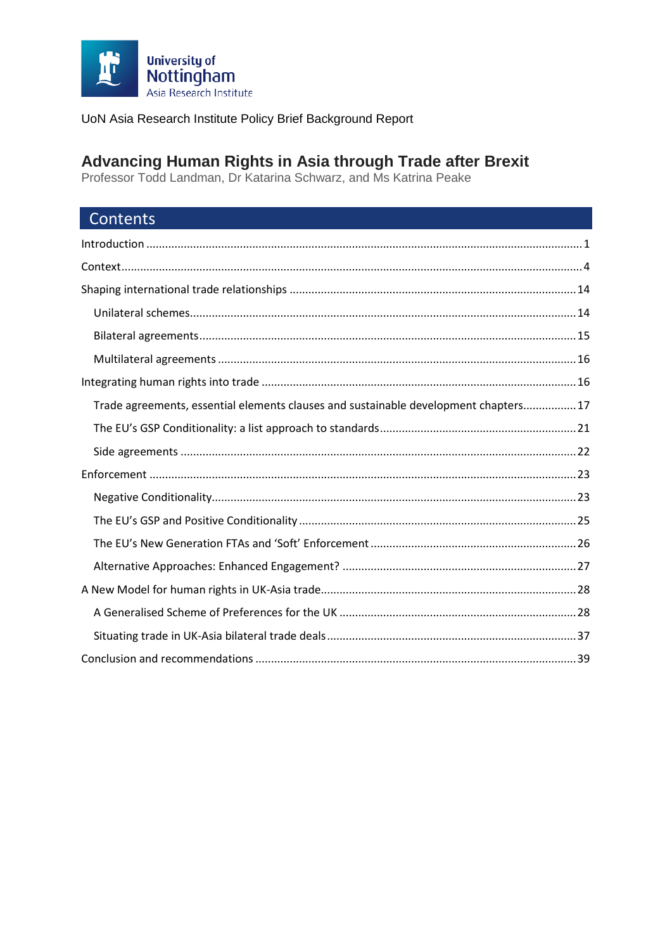

# Advancing Human Rights in Asia through Trade after Brexit<br>Professor Todd Landman, Dr Katarina Schwarz, and Ms Katrina Peake

| Contents                                                                             |
|--------------------------------------------------------------------------------------|
|                                                                                      |
|                                                                                      |
|                                                                                      |
|                                                                                      |
|                                                                                      |
|                                                                                      |
|                                                                                      |
| Trade agreements, essential elements clauses and sustainable development chapters 17 |
|                                                                                      |
|                                                                                      |
|                                                                                      |
|                                                                                      |
|                                                                                      |
|                                                                                      |
|                                                                                      |
|                                                                                      |
|                                                                                      |
|                                                                                      |
|                                                                                      |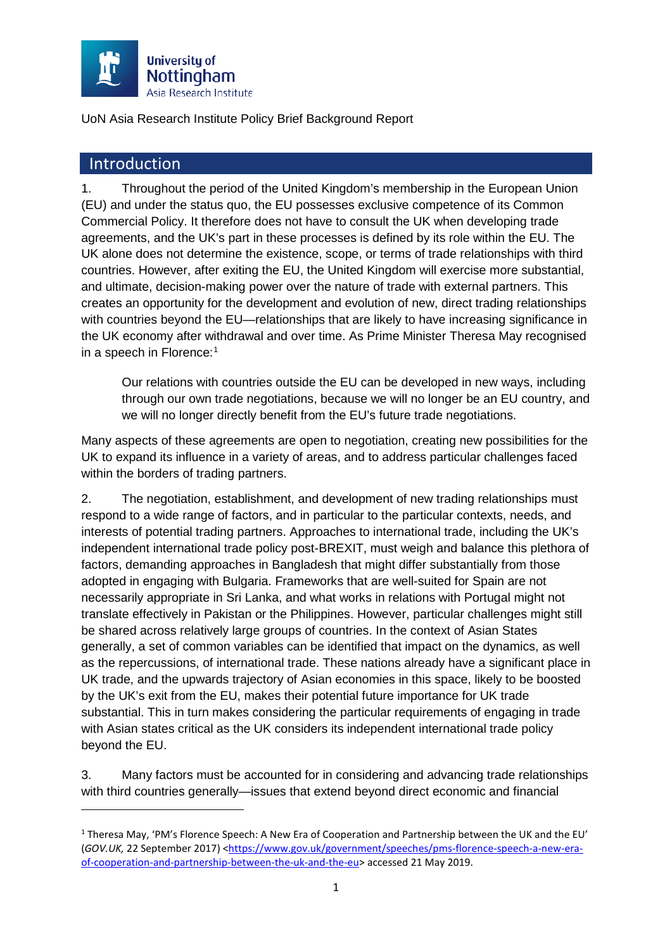

### <span id="page-1-0"></span>Introduction

<u>.</u>

1. Throughout the period of the United Kingdom's membership in the European Union (EU) and under the status quo, the EU possesses exclusive competence of its Common Commercial Policy. It therefore does not have to consult the UK when developing trade agreements, and the UK's part in these processes is defined by its role within the EU. The UK alone does not determine the existence, scope, or terms of trade relationships with third countries. However, after exiting the EU, the United Kingdom will exercise more substantial, and ultimate, decision-making power over the nature of trade with external partners. This creates an opportunity for the development and evolution of new, direct trading relationships with countries beyond the EU—relationships that are likely to have increasing significance in the UK economy after withdrawal and over time. As Prime Minister Theresa May recognised in a speech in Florence:<sup>[1](#page-1-1)</sup>

Our relations with countries outside the EU can be developed in new ways, including through our own trade negotiations, because we will no longer be an EU country, and we will no longer directly benefit from the EU's future trade negotiations.

Many aspects of these agreements are open to negotiation, creating new possibilities for the UK to expand its influence in a variety of areas, and to address particular challenges faced within the borders of trading partners.

2. The negotiation, establishment, and development of new trading relationships must respond to a wide range of factors, and in particular to the particular contexts, needs, and interests of potential trading partners. Approaches to international trade, including the UK's independent international trade policy post-BREXIT, must weigh and balance this plethora of factors, demanding approaches in Bangladesh that might differ substantially from those adopted in engaging with Bulgaria. Frameworks that are well-suited for Spain are not necessarily appropriate in Sri Lanka, and what works in relations with Portugal might not translate effectively in Pakistan or the Philippines. However, particular challenges might still be shared across relatively large groups of countries. In the context of Asian States generally, a set of common variables can be identified that impact on the dynamics, as well as the repercussions, of international trade. These nations already have a significant place in UK trade, and the upwards trajectory of Asian economies in this space, likely to be boosted by the UK's exit from the EU, makes their potential future importance for UK trade substantial. This in turn makes considering the particular requirements of engaging in trade with Asian states critical as the UK considers its independent international trade policy beyond the EU.

3. Many factors must be accounted for in considering and advancing trade relationships with third countries generally—issues that extend beyond direct economic and financial

<span id="page-1-1"></span> $1$  Theresa May, 'PM's Florence Speech: A New Era of Cooperation and Partnership between the UK and the EU' (*GOV.UK,* 22 September 2017) [<https://www.gov.uk/government/speeches/pms-florence-speech-a-new-era](https://www.gov.uk/government/speeches/pms-florence-speech-a-new-era-of-cooperation-and-partnership-between-the-uk-and-the-eu)[of-cooperation-and-partnership-between-the-uk-and-the-eu>](https://www.gov.uk/government/speeches/pms-florence-speech-a-new-era-of-cooperation-and-partnership-between-the-uk-and-the-eu) accessed 21 May 2019.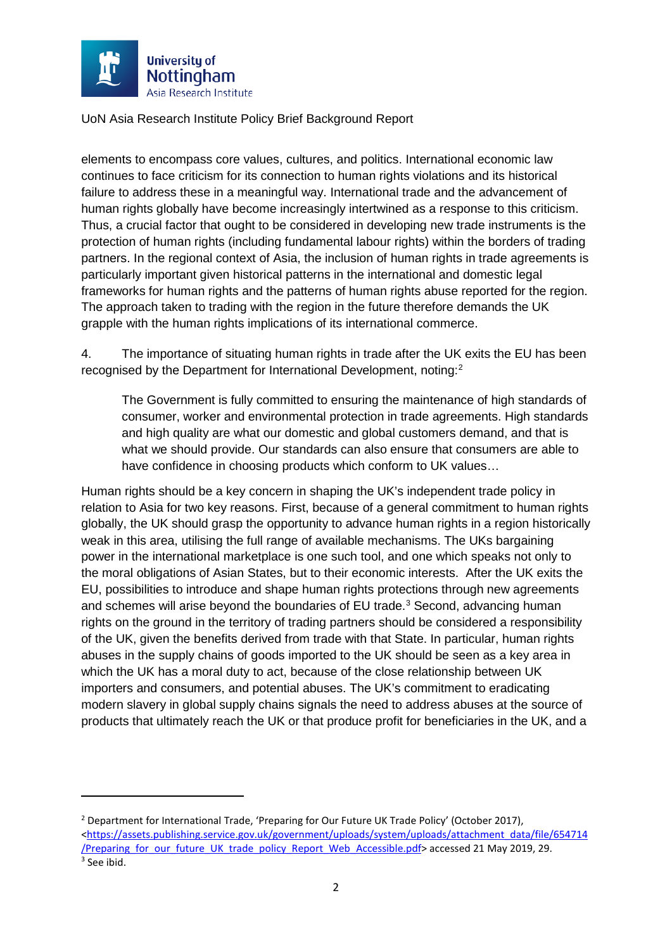

**.** 

UoN Asia Research Institute Policy Brief Background Report

elements to encompass core values, cultures, and politics. International economic law continues to face criticism for its connection to human rights violations and its historical failure to address these in a meaningful way. International trade and the advancement of human rights globally have become increasingly intertwined as a response to this criticism. Thus, a crucial factor that ought to be considered in developing new trade instruments is the protection of human rights (including fundamental labour rights) within the borders of trading partners. In the regional context of Asia, the inclusion of human rights in trade agreements is particularly important given historical patterns in the international and domestic legal frameworks for human rights and the patterns of human rights abuse reported for the region. The approach taken to trading with the region in the future therefore demands the UK grapple with the human rights implications of its international commerce.

4. The importance of situating human rights in trade after the UK exits the EU has been recognised by the Department for International Development, noting:[2](#page-2-0)

<span id="page-2-2"></span>The Government is fully committed to ensuring the maintenance of high standards of consumer, worker and environmental protection in trade agreements. High standards and high quality are what our domestic and global customers demand, and that is what we should provide. Our standards can also ensure that consumers are able to have confidence in choosing products which conform to UK values…

Human rights should be a key concern in shaping the UK's independent trade policy in relation to Asia for two key reasons. First, because of a general commitment to human rights globally, the UK should grasp the opportunity to advance human rights in a region historically weak in this area, utilising the full range of available mechanisms. The UKs bargaining power in the international marketplace is one such tool, and one which speaks not only to the moral obligations of Asian States, but to their economic interests. After the UK exits the EU, possibilities to introduce and shape human rights protections through new agreements and schemes will arise beyond the boundaries of EU trade.<sup>[3](#page-2-1)</sup> Second, advancing human rights on the ground in the territory of trading partners should be considered a responsibility of the UK, given the benefits derived from trade with that State. In particular, human rights abuses in the supply chains of goods imported to the UK should be seen as a key area in which the UK has a moral duty to act, because of the close relationship between UK importers and consumers, and potential abuses. The UK's commitment to eradicating modern slavery in global supply chains signals the need to address abuses at the source of products that ultimately reach the UK or that produce profit for beneficiaries in the UK, and a

<span id="page-2-1"></span><span id="page-2-0"></span><sup>&</sup>lt;sup>2</sup> Department for International Trade, 'Preparing for Our Future UK Trade Policy' (October 2017), [<https://assets.publishing.service.gov.uk/government/uploads/system/uploads/attachment\\_data/file/654714](https://assets.publishing.service.gov.uk/government/uploads/system/uploads/attachment_data/file/654714/Preparing_for_our_future_UK_trade_policy_Report_Web_Accessible.pdf) /Preparing for our future UK trade policy Report Web Accessible.pdf> accessed 21 May 2019, 29. 3 See ibid.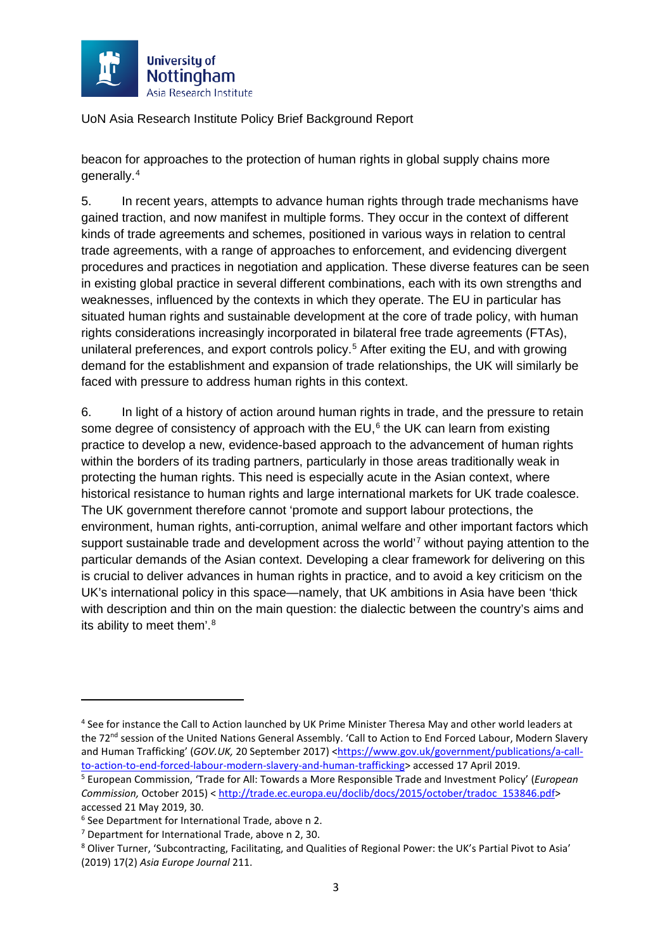

beacon for approaches to the protection of human rights in global supply chains more generally.[4](#page-3-0)

5. In recent years, attempts to advance human rights through trade mechanisms have gained traction, and now manifest in multiple forms. They occur in the context of different kinds of trade agreements and schemes, positioned in various ways in relation to central trade agreements, with a range of approaches to enforcement, and evidencing divergent procedures and practices in negotiation and application. These diverse features can be seen in existing global practice in several different combinations, each with its own strengths and weaknesses, influenced by the contexts in which they operate. The EU in particular has situated human rights and sustainable development at the core of trade policy, with human rights considerations increasingly incorporated in bilateral free trade agreements (FTAs), unilateral preferences, and export controls policy.<sup>[5](#page-3-1)</sup> After exiting the EU, and with growing demand for the establishment and expansion of trade relationships, the UK will similarly be faced with pressure to address human rights in this context.

6. In light of a history of action around human rights in trade, and the pressure to retain some degree of consistency of approach with the EU. $<sup>6</sup>$  $<sup>6</sup>$  $<sup>6</sup>$  the UK can learn from existing</sup> practice to develop a new, evidence-based approach to the advancement of human rights within the borders of its trading partners, particularly in those areas traditionally weak in protecting the human rights. This need is especially acute in the Asian context, where historical resistance to human rights and large international markets for UK trade coalesce. The UK government therefore cannot 'promote and support labour protections, the environment, human rights, anti-corruption, animal welfare and other important factors which support sustainable trade and development across the world<sup>[7](#page-3-3)</sup> without paying attention to the particular demands of the Asian context. Developing a clear framework for delivering on this is crucial to deliver advances in human rights in practice, and to avoid a key criticism on the UK's international policy in this space—namely, that UK ambitions in Asia have been 'thick with description and thin on the main question: the dialectic between the country's aims and its ability to meet them'.<sup>8</sup>

<span id="page-3-5"></span><span id="page-3-0"></span><sup>4</sup> See for instance the Call to Action launched by UK Prime Minister Theresa May and other world leaders at the 72<sup>nd</sup> session of the United Nations General Assembly. 'Call to Action to End Forced Labour, Modern Slavery and Human Trafficking' (*GOV.UK*, 20 September 2017) <https://www.gov.uk/government/publications/a-call-<br>to-action-to-end-forced-labour-modern-slavery-and-human-trafficking> accessed 17 April 2019.

<span id="page-3-1"></span><sup>&</sup>lt;sup>5</sup> European Commission, 'Trade for All: Towards a More Responsible Trade and Investment Policy' (*European Commission,* October 2015) < [http://trade.ec.europa.eu/doclib/docs/2015/october/tradoc\\_153846.pdf>](http://trade.ec.europa.eu/doclib/docs/2015/october/tradoc_153846.pdf) accessed 21 May 2019, 30.

<span id="page-3-2"></span><sup>6</sup> See Department for International Trade, above n [2.](#page-2-2)

<span id="page-3-3"></span> $<sup>7</sup>$  Department for International Trade, above n [2,](#page-2-2) 30.</sup>

<span id="page-3-4"></span><sup>8</sup> Oliver Turner, 'Subcontracting, Facilitating, and Qualities of Regional Power: the UK's Partial Pivot to Asia' (2019) 17(2) *Asia Europe Journal* 211.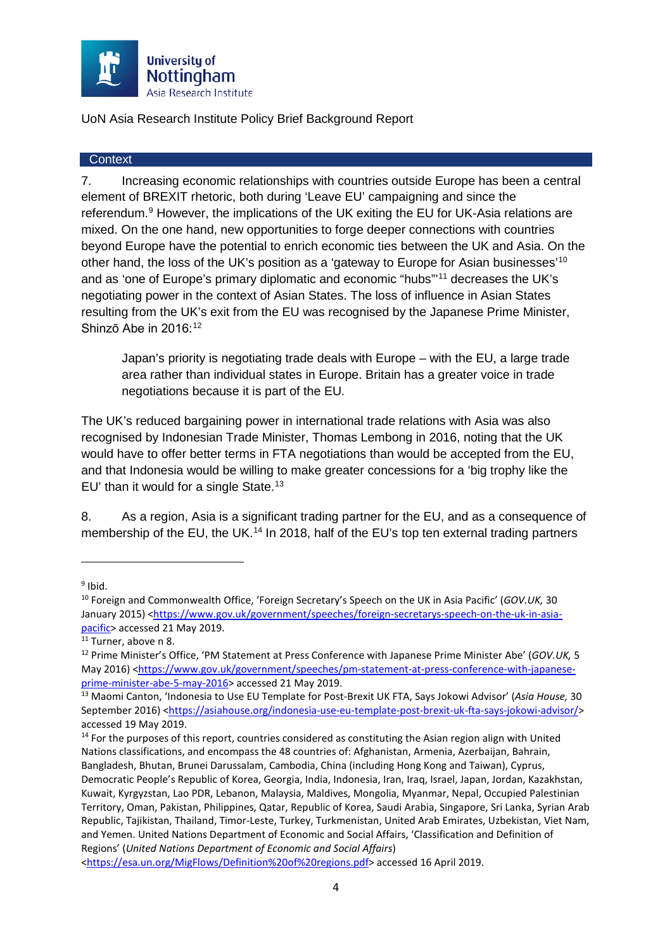

#### <span id="page-4-0"></span>**Context**

7. Increasing economic relationships with countries outside Europe has been a central element of BREXIT rhetoric, both during 'Leave EU' campaigning and since the referendum.<sup>[9](#page-4-1)</sup> However, the implications of the UK exiting the EU for UK-Asia relations are mixed. On the one hand, new opportunities to forge deeper connections with countries beyond Europe have the potential to enrich economic ties between the UK and Asia. On the other hand, the loss of the UK's position as a 'gateway to Europe for Asian businesses'[10](#page-4-2) and as 'one of Europe's primary diplomatic and economic "hubs"'[11](#page-4-3) decreases the UK's negotiating power in the context of Asian States. The loss of influence in Asian States resulting from the UK's exit from the EU was recognised by the Japanese Prime Minister, Shinzō Abe in 2016:<sup>[12](#page-4-4)</sup>

Japan's priority is negotiating trade deals with Europe – with the EU, a large trade area rather than individual states in Europe. Britain has a greater voice in trade negotiations because it is part of the EU.

The UK's reduced bargaining power in international trade relations with Asia was also recognised by Indonesian Trade Minister, Thomas Lembong in 2016, noting that the UK would have to offer better terms in FTA negotiations than would be accepted from the EU, and that Indonesia would be willing to make greater concessions for a 'big trophy like the EU' than it would for a single State.<sup>[13](#page-4-5)</sup>

8. As a region, Asia is a significant trading partner for the EU, and as a consequence of membership of the EU, the UK.<sup>[14](#page-4-6)</sup> In 2018, half of the EU's top ten external trading partners

<u>.</u>

<span id="page-4-1"></span> $9$  Ibid.

<span id="page-4-2"></span><sup>10</sup> Foreign and Commonwealth Office, 'Foreign Secretary's Speech on the UK in Asia Pacific' (*GOV.UK,* 30 January 2015) [<https://www.gov.uk/government/speeches/foreign-secretarys-speech-on-the-uk-in-asia](https://www.gov.uk/government/speeches/foreign-secretarys-speech-on-the-uk-in-asia-pacific)[pacific>](https://www.gov.uk/government/speeches/foreign-secretarys-speech-on-the-uk-in-asia-pacific) accessed 21 May 2019. 11 Turner, above [n 8.](#page-3-5)

<span id="page-4-4"></span><span id="page-4-3"></span><sup>12</sup> Prime Minister's Office, 'PM Statement at Press Conference with Japanese Prime Minister Abe' (*GOV.UK,* 5 May 2016) [<https://www.gov.uk/government/speeches/pm-statement-at-press-conference-with-japanese](https://www.gov.uk/government/speeches/pm-statement-at-press-conference-with-japanese-prime-minister-abe-5-may-2016)prime-minister-abe-5-may-2016</u>> accessed 21 May 2019.<br><sup>13</sup> Maomi Canton, 'Indonesia to Use EU Template for Post-Brexit UK FTA, Says Jokowi Advisor' (*Asia House,* 30

<span id="page-4-5"></span>September 2016) [<https://asiahouse.org/indonesia-use-eu-template-post-brexit-uk-fta-says-jokowi-advisor/>](https://asiahouse.org/indonesia-use-eu-template-post-brexit-uk-fta-says-jokowi-advisor/) accessed 19 May 2019.

<span id="page-4-6"></span> $14$  For the purposes of this report, countries considered as constituting the Asian region align with United Nations classifications, and encompass the 48 countries of: Afghanistan, Armenia, Azerbaijan, Bahrain, Bangladesh, Bhutan, Brunei Darussalam, Cambodia, China (including Hong Kong and Taiwan), Cyprus, Democratic People's Republic of Korea, Georgia, India, Indonesia, Iran, Iraq, Israel, Japan, Jordan, Kazakhstan, Kuwait, Kyrgyzstan, Lao PDR, Lebanon, Malaysia, Maldives, Mongolia, Myanmar, Nepal, Occupied Palestinian Territory, Oman, Pakistan, Philippines, Qatar, Republic of Korea, Saudi Arabia, Singapore, Sri Lanka, Syrian Arab Republic, Tajikistan, Thailand, Timor-Leste, Turkey, Turkmenistan, United Arab Emirates, Uzbekistan, Viet Nam, and Yemen. United Nations Department of Economic and Social Affairs, 'Classification and Definition of Regions' (*United Nations Department of Economic and Social Affairs*)

[<sup>&</sup>lt;https://esa.un.org/MigFlows/Definition%20of%20regions.pdf>](https://esa.un.org/MigFlows/Definition%20of%20regions.pdf) accessed 16 April 2019.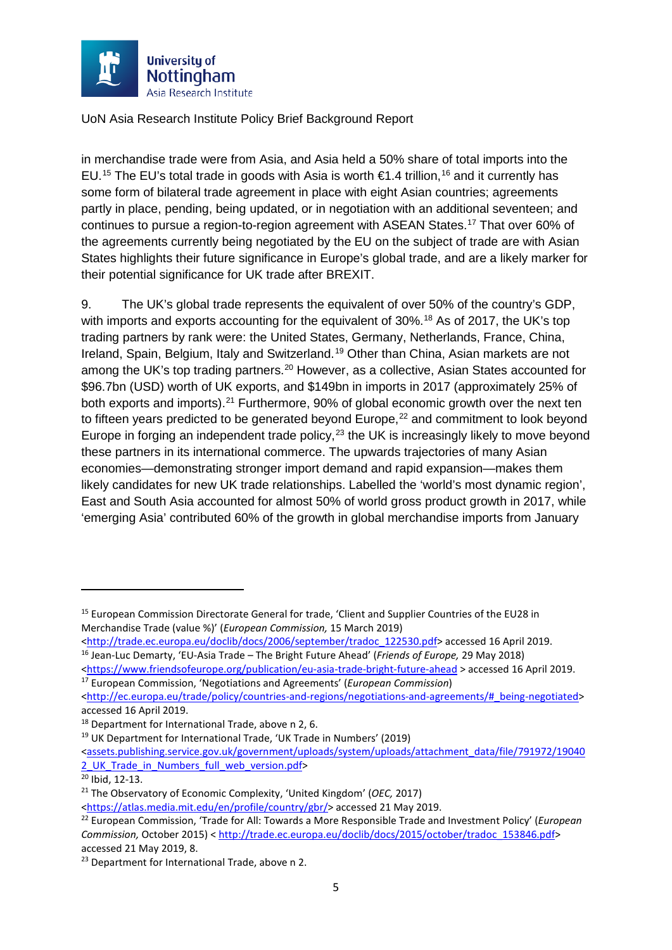

in merchandise trade were from Asia, and Asia held a 50% share of total imports into the EU.<sup>[15](#page-5-0)</sup> The EU's total trade in goods with Asia is worth €1.4 trillion,<sup>[16](#page-5-1)</sup> and it currently has some form of bilateral trade agreement in place with eight Asian countries; agreements partly in place, pending, being updated, or in negotiation with an additional seventeen; and continues to pursue a region-to-region agreement with ASEAN States. [17](#page-5-2) That over 60% of the agreements currently being negotiated by the EU on the subject of trade are with Asian States highlights their future significance in Europe's global trade, and are a likely marker for their potential significance for UK trade after BREXIT.

<span id="page-5-9"></span>9. The UK's global trade represents the equivalent of over 50% of the country's GDP, with imports and exports accounting for the equivalent of 30%.<sup>[18](#page-5-3)</sup> As of 2017, the UK's top trading partners by rank were: the United States, Germany, Netherlands, France, China, Ireland, Spain, Belgium, Italy and Switzerland.<sup>[19](#page-5-4)</sup> Other than China, Asian markets are not among the UK's top trading partners.<sup>[20](#page-5-5)</sup> However, as a collective, Asian States accounted for \$96.7bn (USD) worth of UK exports, and \$149bn in imports in 2017 (approximately 25% of both exports and imports).<sup>[21](#page-5-6)</sup> Furthermore, 90% of global economic growth over the next ten to fifteen years predicted to be generated beyond Europe,<sup>[22](#page-5-7)</sup> and commitment to look beyond Europe in forging an independent trade policy, $23$  the UK is increasingly likely to move beyond these partners in its international commerce. The upwards trajectories of many Asian economies—demonstrating stronger import demand and rapid expansion—makes them likely candidates for new UK trade relationships. Labelled the 'world's most dynamic region', East and South Asia accounted for almost 50% of world gross product growth in 2017, while 'emerging Asia' contributed 60% of the growth in global merchandise imports from January

[<assets.publishing.service.gov.uk/government/uploads/system/uploads/attachment\\_data/file/791972/19040](https://assets.publishing.service.gov.uk/government/uploads/system/uploads/attachment_data/file/791972/190402_UK_Trade_in_Numbers_full_web_version.pdf) 2 UK Trade in Numbers full web version.pdf>

 $\overline{\phantom{a}}$ 

<span id="page-5-0"></span><sup>&</sup>lt;sup>15</sup> European Commission Directorate General for trade, 'Client and Supplier Countries of the EU28 in Merchandise Trade (value %)' (*European Commission,* 15 March 2019)

[<sup>&</sup>lt;http://trade.ec.europa.eu/doclib/docs/2006/september/tradoc\\_122530.pdf>](http://trade.ec.europa.eu/doclib/docs/2006/september/tradoc_122530.pdf) accessed 16 April 2019. 16 Jean-Luc Demarty, 'EU-Asia Trade – The Bright Future Ahead' (*Friends of Europe,* 29 May 2018)

<span id="page-5-1"></span>

<sup>&</sup>lt;https://www.friendsofeurope.org/publication/eu-asia-trade-bright-future-ahead [>](https://www.friendsofeurope.org/publication/eu-asia-trade-bright-future-ahead) accessed 16 April 2019. 17 European Commission, 'Negotiations and Agreements' (*European Commission*)

<span id="page-5-2"></span>[<sup>&</sup>lt;http://ec.europa.eu/trade/policy/countries-and-regions/negotiations-and-agreements/#\\_being-negotiated>](http://ec.europa.eu/trade/policy/countries-and-regions/negotiations-and-agreements/#_being-negotiated) accessed 16 April 2019.

<span id="page-5-4"></span><span id="page-5-3"></span><sup>&</sup>lt;sup>18</sup> Department for International Trade, above [n 2,](#page-2-2) 6.<br><sup>19</sup> UK Department for International Trade, 'UK Trade in Numbers' (2019)

<span id="page-5-5"></span><sup>20</sup> Ibid, 12-13.

<span id="page-5-6"></span><sup>21</sup> The Observatory of Economic Complexity, 'United Kingdom' (*OEC,* 2017)

[<sup>&</sup>lt;https://atlas.media.mit.edu/en/profile/country/gbr/>](https://atlas.media.mit.edu/en/profile/country/gbr/) accessed 21 May 2019.

<span id="page-5-7"></span><sup>22</sup> European Commission, 'Trade for All: Towards a More Responsible Trade and Investment Policy' (*European Commission,* October 2015) < [http://trade.ec.europa.eu/doclib/docs/2015/october/tradoc\\_153846.pdf>](http://trade.ec.europa.eu/doclib/docs/2015/october/tradoc_153846.pdf) accessed 21 May 2019, 8.

<span id="page-5-8"></span><sup>&</sup>lt;sup>23</sup> Department for International Trade, above [n 2.](#page-2-2)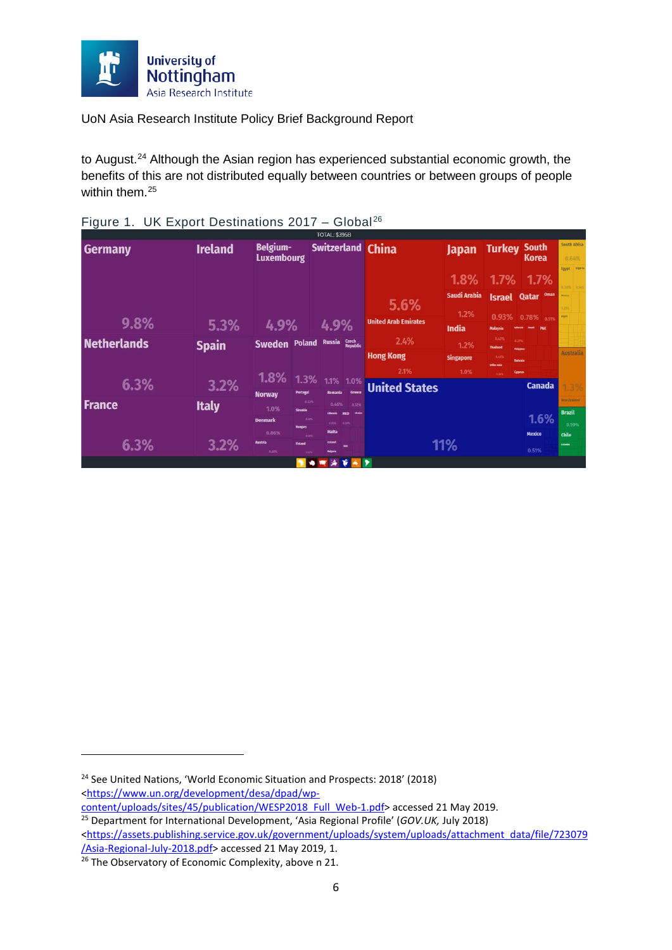

to August.<sup>[24](#page-6-0)</sup> Although the Asian region has experienced substantial economic growth, the benefits of this are not distributed equally between countries or between groups of people within them.<sup>[25](#page-6-1)</sup>

|                    |                |                  |                                      | <b>TOTAL: \$395B</b>             |                           |                             |                             |                           |                                       |                              |
|--------------------|----------------|------------------|--------------------------------------|----------------------------------|---------------------------|-----------------------------|-----------------------------|---------------------------|---------------------------------------|------------------------------|
| <b>Germany</b>     | <b>Ireland</b> |                  | <b>Belgium-</b><br><b>Luxembourg</b> |                                  |                           | <b>Switzerland China</b>    | <b>Japan</b>                | <b>Turkey</b>             | <b>South</b><br>Korea                 | <b>South Africa</b><br>0.64% |
|                    |                |                  |                                      |                                  |                           |                             | 1.8%                        |                           | 1.7% 1.7%                             | Egypt Nigeria<br>AND 3890    |
|                    |                |                  |                                      |                                  |                           | 5.6%                        | <b>Saudi Arabia</b><br>1.2% | <b>Israel</b>             | <b>Oman</b><br>Qatar                  | <b>Bankco</b><br>0.25%       |
| 9.8%               | 5.3%           | 4.9%             |                                      | 4.9%                             |                           | <b>United Arab Emirates</b> | India                       | 0.93%<br>Malaysia         | 0.78%<br>0.51%<br>PAK<br><b>Rando</b> | <b>Angela</b>                |
| <b>Netherlands</b> | <b>Spain</b>   | Sweden Poland    |                                      | Russia                           | Czech<br>Republic         | 2.4%                        | 1.2%                        | 0.43%<br><b>Thailand</b>  | 0.27%<br><b>Philippines</b>           |                              |
|                    |                |                  |                                      |                                  |                           | <b>Hong Kong</b>            | <b>Singapore</b>            | <b>QADS</b><br>Other Asia | <b>Bahrain</b>                        | <b>Australia</b>             |
|                    |                | 1.8%             | 1.3%                                 |                                  |                           | 2.1%                        | 1.0%                        | <b>A SINC</b>             | <b>Cyprus</b>                         |                              |
| 6.3%               | 3.2%           | <b>Norway</b>    | Portugal                             | 1.1%<br>Romania                  | 1.0%<br>Greece            | <b>United States</b>        |                             |                           | <b>Canada</b>                         | 1.3%                         |
| <b>France</b>      | <b>Italy</b>   | 1.0%             | 0.53%                                | 0.46%                            | 0.32%                     |                             |                             |                           |                                       | <b>New Zealand</b>           |
|                    |                | <b>Denmark</b>   | Slovakia<br><b>DATS</b>              |                                  | <b>Show</b><br><b>MKD</b> |                             |                             |                           | 1.6%                                  | <b>Brazil</b>                |
|                    |                | 0.86%            | <b>Hungary</b><br>0.48%              | 0.25%<br><b>Malta</b>            | -0.20%                    |                             |                             |                           | <b>Mexico</b>                         | 0.59%<br><b>Chile</b>        |
| 6.3%               | 3.2%           | Austria<br>0.66% | Finland<br>0.67%                     | <b>keland</b><br><b>Belgaria</b> | <b>SIN</b>                |                             | 11%                         |                           | 0.51%                                 | <b>Colembia</b>              |
|                    |                |                  |                                      |                                  | $X \sim Y$                |                             |                             |                           |                                       |                              |

<span id="page-6-3"></span>

|  |  | Figure 1. UK Export Destinations 2017 - Global <sup>26</sup> |  |  |
|--|--|--------------------------------------------------------------|--|--|
|--|--|--------------------------------------------------------------|--|--|

<span id="page-6-0"></span><sup>&</sup>lt;sup>24</sup> See United Nations, 'World Economic Situation and Prospects: 2018' (2018) <https://www.un.org/development/desa/dpad/wp-<br>content/uploads/sites/45/publication/WESP2018 Full Web-1.pdf> accessed 21 May 2019.

<span id="page-6-1"></span><sup>&</sup>lt;sup>25</sup> Department for International Development, 'Asia Regional Profile' (*GOV.UK, July 2018*) [<https://assets.publishing.service.gov.uk/government/uploads/system/uploads/attachment\\_data/file/723079](https://assets.publishing.service.gov.uk/government/uploads/system/uploads/attachment_data/file/723079/Asia-Regional-July-2018.pdf)

<span id="page-6-2"></span>[<sup>/</sup>Asia-Regional-July-2018.pdf>](https://assets.publishing.service.gov.uk/government/uploads/system/uploads/attachment_data/file/723079/Asia-Regional-July-2018.pdf) accessed 21 May 2019, 1.  $\frac{1}{26}$  The Observatory of Economic Complexity, above n [21.](#page-5-9)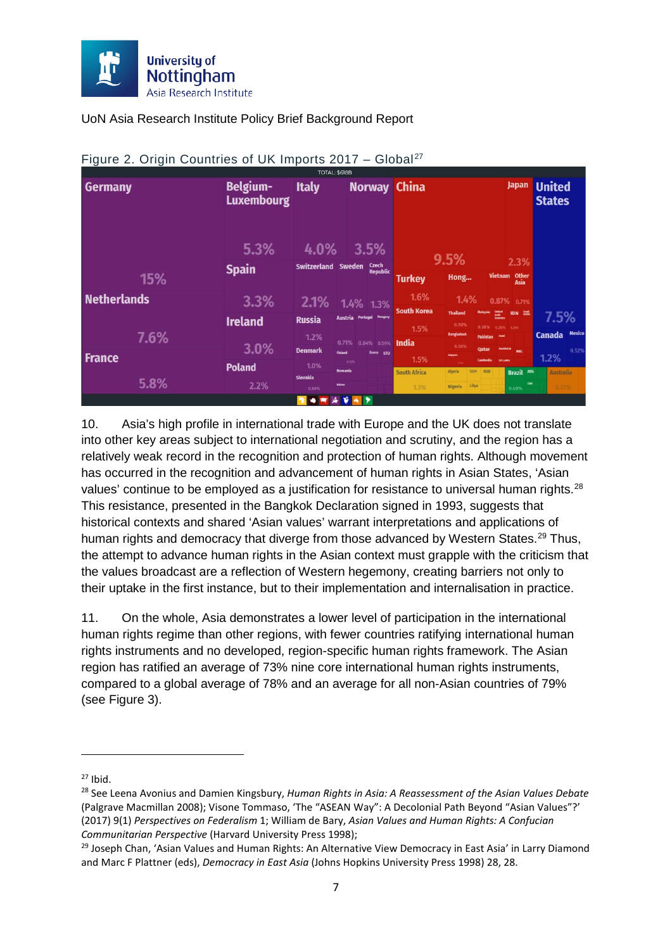

|                    |                                      | TOTAL: \$618B            |                                    |                      |                             |                             |                          |                                           |                                     |                                |                        |
|--------------------|--------------------------------------|--------------------------|------------------------------------|----------------------|-----------------------------|-----------------------------|--------------------------|-------------------------------------------|-------------------------------------|--------------------------------|------------------------|
| <b>Germany</b>     | <b>Belgium-</b><br><b>Luxembourg</b> | <b>Italy</b>             |                                    |                      | <b>Norway China</b>         |                             |                          |                                           | <b>Japan</b>                        | <b>United</b><br><b>States</b> |                        |
|                    | 5.3%                                 | 4.0%                     |                                    | 3.5%<br><b>Czech</b> |                             | 9.5%                        |                          |                                           | 2.3%                                |                                |                        |
| 15%                | <b>Spain</b>                         | Switzerland Sweden       |                                    | <b>Republic</b>      | <b>Turkey</b>               | Hong                        |                          |                                           | Vietnam Other<br>Asia               |                                |                        |
| <b>Netherlands</b> | 3.3%                                 | 2.1%                     | 1.4% 1.3%                          |                      | 1.6%                        | 1.4%                        |                          |                                           | 0.87% 0.71%                         |                                |                        |
|                    | <b>Ireland</b>                       | <b>Russia</b>            | <b>Austria Portugal Bungary</b>    |                      | <b>South Korea</b><br>1.5%  | <b>Thailand</b><br>0.59%    | Malaysia<br>0.38%        | United<br>Asab<br>Emirates<br>0.35% 0.29% | <b>IDN</b> 255                      | 7.5%                           |                        |
| 7.6%               | 3.0%                                 | 1.2%<br><b>Denmark</b>   | 0.71% 0.64% 0.59%                  |                      | India                       | <b>Bangladesi</b><br>0.58%  | <b>Pakistan</b><br>Qatar | <b>Israel</b><br><b>Kazakhstan</b>        | <b>MNG</b>                          | <b>Canada</b>                  | <b>Mexico</b><br>0.52% |
| <b>France</b>      | <b>Poland</b>                        | 1.0%                     | <b>Finland</b><br>0.53%<br>Romania | Greece LTU           | 1.5%                        | Singapore<br>100<br>Algeria | Cambodia<br>MAR<br>Egypt | Sri Lanka                                 |                                     | 1.2%                           |                        |
| 5.8%               | 2.2%                                 | <b>Slovakia</b><br>0.80% | <b>Belanus</b>                     |                      | <b>South Africa</b><br>1.3% | <b>Nigeria</b>              | Libya                    |                                           | Brazil ARG<br><b>Chile</b><br>0.49% | <b>Australia</b><br>0.7796     |                        |
|                    |                                      |                          | v                                  | ∣∙                   |                             |                             |                          |                                           |                                     |                                |                        |

#### Figure 2. Origin Countries of UK Imports 2017 - Global<sup>[27](#page-7-0)</sup>

<span id="page-7-3"></span>10. Asia's high profile in international trade with Europe and the UK does not translate into other key areas subject to international negotiation and scrutiny, and the region has a relatively weak record in the recognition and protection of human rights. Although movement has occurred in the recognition and advancement of human rights in Asian States, 'Asian values' continue to be employed as a justification for resistance to universal human rights.<sup>[28](#page-7-1)</sup> This resistance, presented in the Bangkok Declaration signed in 1993, suggests that historical contexts and shared 'Asian values' warrant interpretations and applications of human rights and democracy that diverge from those advanced by Western States.<sup>[29](#page-7-2)</sup> Thus, the attempt to advance human rights in the Asian context must grapple with the criticism that the values broadcast are a reflection of Western hegemony, creating barriers not only to their uptake in the first instance, but to their implementation and internalisation in practice.

<span id="page-7-4"></span>11. On the whole, Asia demonstrates a lower level of participation in the international human rights regime than other regions, with fewer countries ratifying international human rights instruments and no developed, region-specific human rights framework. The Asian region has ratified an average of 73% nine core international human rights instruments, compared to a global average of 78% and an average for all non-Asian countries of 79% (see Figure 3).

<span id="page-7-1"></span><span id="page-7-0"></span><sup>&</sup>lt;sup>27</sup> Ibid.<br><sup>28</sup> See Leena Avonius and Damien Kingsbury, *Human Rights in Asia: A Reassessment of the Asian Values Debate* (Palgrave Macmillan 2008); Visone Tommaso, 'The "ASEAN Way": A Decolonial Path Beyond "Asian Values"?' (2017) 9(1) *Perspectives on Federalism* 1; William de Bary, *Asian Values and Human Rights: A Confucian Communitarian Perspective* (Harvard University Press 1998);

<span id="page-7-2"></span><sup>&</sup>lt;sup>29</sup> Joseph Chan, 'Asian Values and Human Rights: An Alternative View Democracy in East Asia' in Larry Diamond and Marc F Plattner (eds), *Democracy in East Asia* (Johns Hopkins University Press 1998) 28, 28.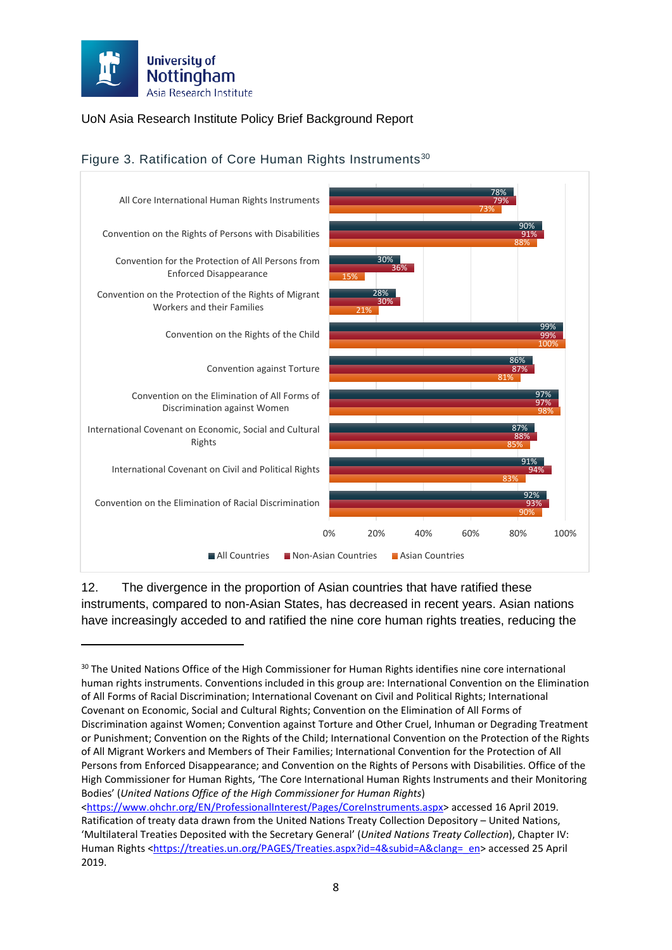

**.** 

#### UoN Asia Research Institute Policy Brief Background Report



#### <span id="page-8-1"></span>Figure 3. Ratification of Core Human Rights Instruments<sup>[30](#page-8-0)</sup>

12. The divergence in the proportion of Asian countries that have ratified these instruments, compared to non-Asian States, has decreased in recent years. Asian nations have increasingly acceded to and ratified the nine core human rights treaties, reducing the

<span id="page-8-0"></span><sup>&</sup>lt;sup>30</sup> The United Nations Office of the High Commissioner for Human Rights identifies nine core international human rights instruments. Conventions included in this group are: International Convention on the Elimination of All Forms of Racial Discrimination; International Covenant on Civil and Political Rights; International Covenant on Economic, Social and Cultural Rights; Convention on the Elimination of All Forms of Discrimination against Women; Convention against Torture and Other Cruel, Inhuman or Degrading Treatment or Punishment; Convention on the Rights of the Child; International Convention on the Protection of the Rights of All Migrant Workers and Members of Their Families; International Convention for the Protection of All Persons from Enforced Disappearance; and Convention on the Rights of Persons with Disabilities. Office of the High Commissioner for Human Rights, 'The Core International Human Rights Instruments and their Monitoring Bodies' (*United Nations Office of the High Commissioner for Human Rights*)

[<sup>&</sup>lt;https://www.ohchr.org/EN/ProfessionalInterest/Pages/CoreInstruments.aspx>](https://www.ohchr.org/EN/ProfessionalInterest/Pages/CoreInstruments.aspx) accessed 16 April 2019. Ratification of treaty data drawn from the United Nations Treaty Collection Depository – United Nations, 'Multilateral Treaties Deposited with the Secretary General' (*United Nations Treaty Collection*), Chapter IV: Human Rights [<https://treaties.un.org/PAGES/Treaties.aspx?id=4&subid=A&clang=\\_en>](https://treaties.un.org/PAGES/Treaties.aspx?id=4&subid=A&clang=_en) accessed 25 April 2019.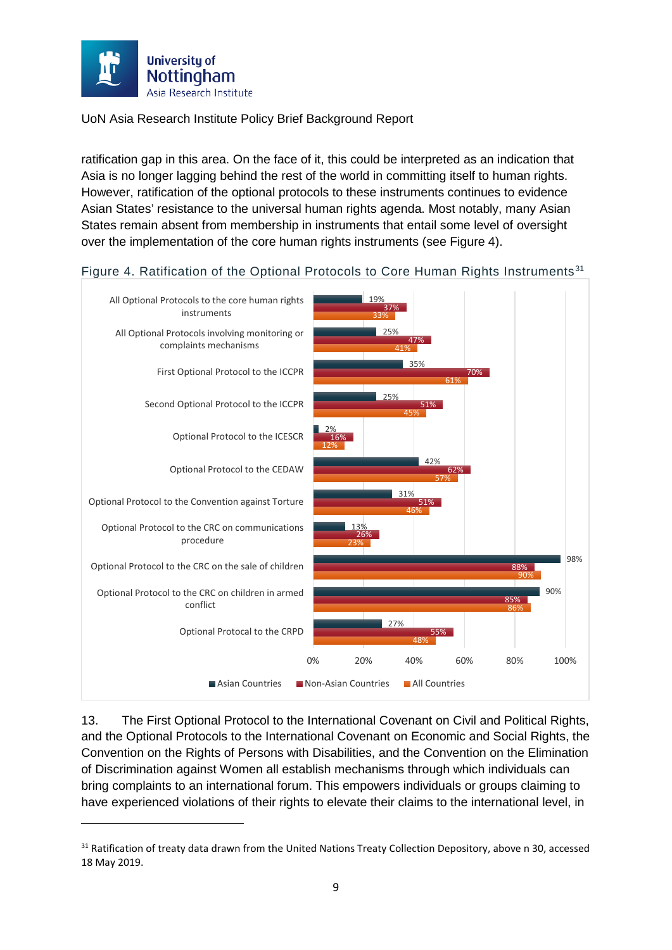

**.** 

UoN Asia Research Institute Policy Brief Background Report

ratification gap in this area. On the face of it, this could be interpreted as an indication that Asia is no longer lagging behind the rest of the world in committing itself to human rights. However, ratification of the optional protocols to these instruments continues to evidence Asian States' resistance to the universal human rights agenda. Most notably, many Asian States remain absent from membership in instruments that entail some level of oversight over the implementation of the core human rights instruments (see Figure 4).



Figure 4. Ratification of the Optional Protocols to Core Human Rights Instruments<sup>[31](#page-9-0)</sup>

<span id="page-9-1"></span>13. The First Optional Protocol to the International Covenant on Civil and Political Rights, and the Optional Protocols to the International Covenant on Economic and Social Rights, the Convention on the Rights of Persons with Disabilities, and the Convention on the Elimination of Discrimination against Women all establish mechanisms through which individuals can bring complaints to an international forum. This empowers individuals or groups claiming to have experienced violations of their rights to elevate their claims to the international level, in

<span id="page-9-0"></span><sup>&</sup>lt;sup>31</sup> Ratification of treaty data drawn from the United Nations Treaty Collection Depository, above [n 30,](#page-8-1) accessed 18 May 2019.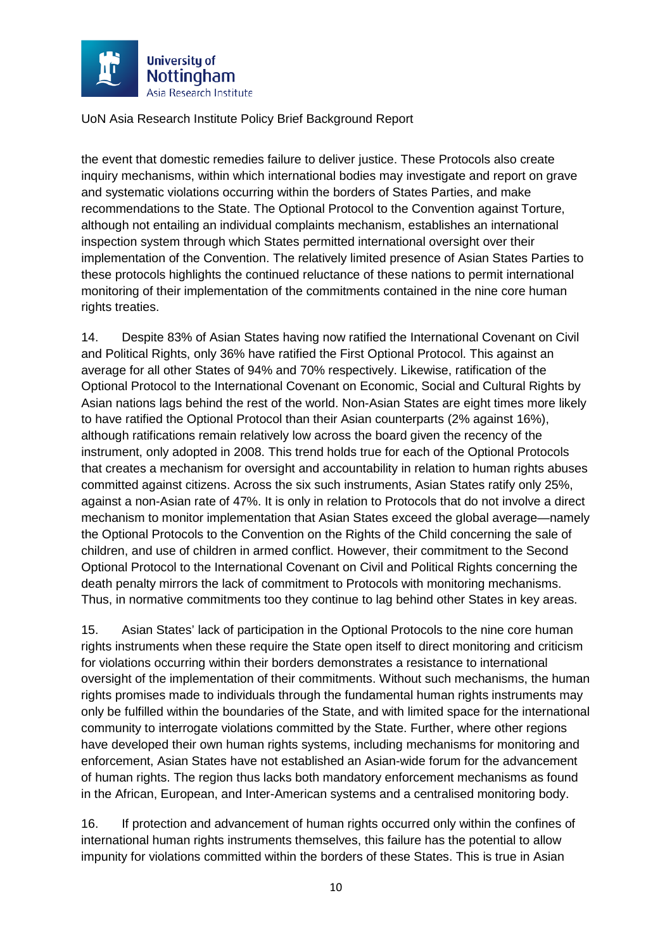

the event that domestic remedies failure to deliver justice. These Protocols also create inquiry mechanisms, within which international bodies may investigate and report on grave and systematic violations occurring within the borders of States Parties, and make recommendations to the State. The Optional Protocol to the Convention against Torture, although not entailing an individual complaints mechanism, establishes an international inspection system through which States permitted international oversight over their implementation of the Convention. The relatively limited presence of Asian States Parties to these protocols highlights the continued reluctance of these nations to permit international monitoring of their implementation of the commitments contained in the nine core human rights treaties.

14. Despite 83% of Asian States having now ratified the International Covenant on Civil and Political Rights, only 36% have ratified the First Optional Protocol. This against an average for all other States of 94% and 70% respectively. Likewise, ratification of the Optional Protocol to the International Covenant on Economic, Social and Cultural Rights by Asian nations lags behind the rest of the world. Non-Asian States are eight times more likely to have ratified the Optional Protocol than their Asian counterparts (2% against 16%), although ratifications remain relatively low across the board given the recency of the instrument, only adopted in 2008. This trend holds true for each of the Optional Protocols that creates a mechanism for oversight and accountability in relation to human rights abuses committed against citizens. Across the six such instruments, Asian States ratify only 25%, against a non-Asian rate of 47%. It is only in relation to Protocols that do not involve a direct mechanism to monitor implementation that Asian States exceed the global average—namely the Optional Protocols to the Convention on the Rights of the Child concerning the sale of children, and use of children in armed conflict. However, their commitment to the Second Optional Protocol to the International Covenant on Civil and Political Rights concerning the death penalty mirrors the lack of commitment to Protocols with monitoring mechanisms. Thus, in normative commitments too they continue to lag behind other States in key areas.

<span id="page-10-0"></span>15. Asian States' lack of participation in the Optional Protocols to the nine core human rights instruments when these require the State open itself to direct monitoring and criticism for violations occurring within their borders demonstrates a resistance to international oversight of the implementation of their commitments. Without such mechanisms, the human rights promises made to individuals through the fundamental human rights instruments may only be fulfilled within the boundaries of the State, and with limited space for the international community to interrogate violations committed by the State. Further, where other regions have developed their own human rights systems, including mechanisms for monitoring and enforcement, Asian States have not established an Asian-wide forum for the advancement of human rights. The region thus lacks both mandatory enforcement mechanisms as found in the African, European, and Inter-American systems and a centralised monitoring body.

16. If protection and advancement of human rights occurred only within the confines of international human rights instruments themselves, this failure has the potential to allow impunity for violations committed within the borders of these States. This is true in Asian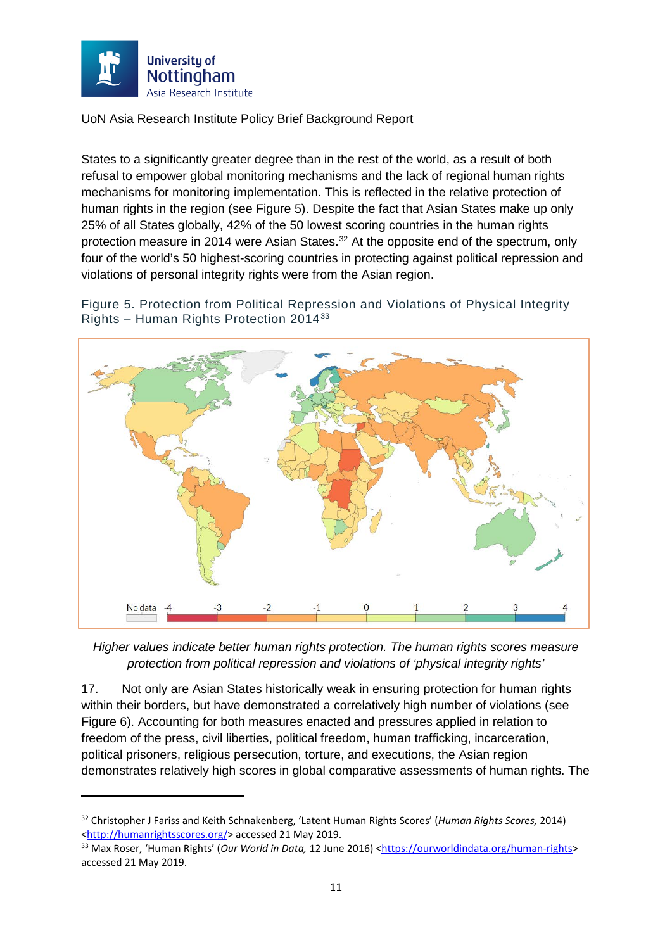

**.** 

UoN Asia Research Institute Policy Brief Background Report

States to a significantly greater degree than in the rest of the world, as a result of both refusal to empower global monitoring mechanisms and the lack of regional human rights mechanisms for monitoring implementation. This is reflected in the relative protection of human rights in the region (see Figure 5). Despite the fact that Asian States make up only 25% of all States globally, 42% of the 50 lowest scoring countries in the human rights protection measure in 2014 were Asian States.<sup>[32](#page-11-0)</sup> At the opposite end of the spectrum, only four of the world's 50 highest-scoring countries in protecting against political repression and violations of personal integrity rights were from the Asian region.

Figure 5. Protection from Political Repression and Violations of Physical Integrity Rights – Human Rights Protection 2014[33](#page-11-1)



*Higher values indicate better human rights protection. The human rights scores measure protection from political repression and violations of 'physical integrity rights'*

17. Not only are Asian States historically weak in ensuring protection for human rights within their borders, but have demonstrated a correlatively high number of violations (see Figure 6). Accounting for both measures enacted and pressures applied in relation to freedom of the press, civil liberties, political freedom, human trafficking, incarceration, political prisoners, religious persecution, torture, and executions, the Asian region demonstrates relatively high scores in global comparative assessments of human rights. The

<span id="page-11-0"></span><sup>32</sup> Christopher J Fariss and Keith Schnakenberg, 'Latent Human Rights Scores' (*Human Rights Scores,* 2014) [<http://humanrightsscores.org/>](http://humanrightsscores.org/) accessed 21 May 2019.

<span id="page-11-1"></span><sup>33</sup> Max Roser, 'Human Rights' (*Our World in Data,* 12 June 2016) [<https://ourworldindata.org/human-rights>](https://ourworldindata.org/human-rights) accessed 21 May 2019.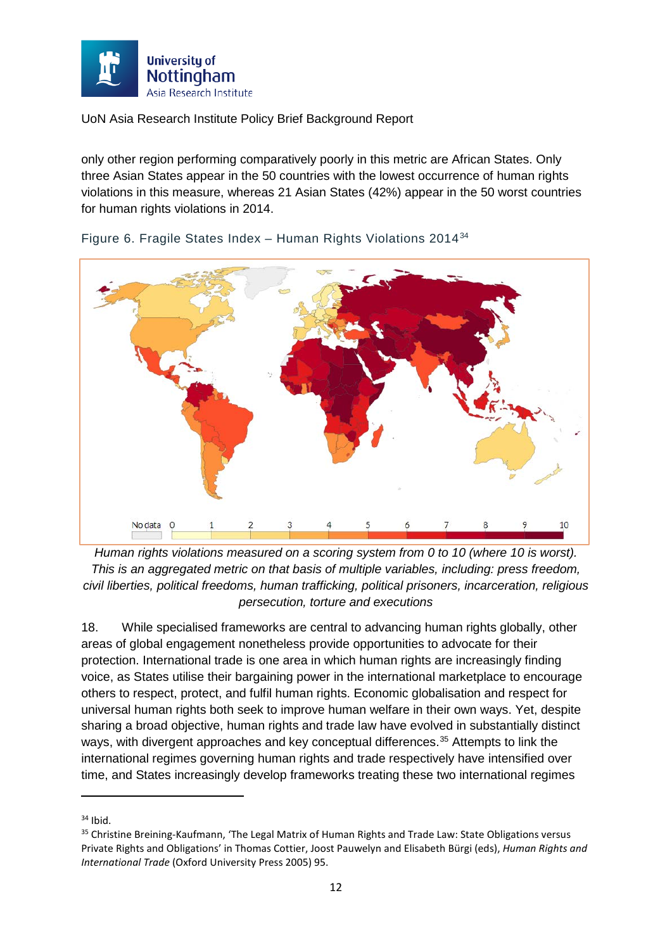

only other region performing comparatively poorly in this metric are African States. Only three Asian States appear in the 50 countries with the lowest occurrence of human rights violations in this measure, whereas 21 Asian States (42%) appear in the 50 worst countries for human rights violations in 2014.



Figure 6. Fragile States Index – Human Rights Violations 2014[34](#page-12-0)

*Human rights violations measured on a scoring system from 0 to 10 (where 10 is worst). This is an aggregated metric on that basis of multiple variables, including: press freedom, civil liberties, political freedoms, human trafficking, political prisoners, incarceration, religious persecution, torture and executions*

18. While specialised frameworks are central to advancing human rights globally, other areas of global engagement nonetheless provide opportunities to advocate for their protection. International trade is one area in which human rights are increasingly finding voice, as States utilise their bargaining power in the international marketplace to encourage others to respect, protect, and fulfil human rights. Economic globalisation and respect for universal human rights both seek to improve human welfare in their own ways. Yet, despite sharing a broad objective, human rights and trade law have evolved in substantially distinct ways, with divergent approaches and key conceptual differences.<sup>[35](#page-12-1)</sup> Attempts to link the international regimes governing human rights and trade respectively have intensified over time, and States increasingly develop frameworks treating these two international regimes

<span id="page-12-0"></span> $34$  Ibid.

<span id="page-12-1"></span><sup>&</sup>lt;sup>35</sup> Christine Breining-Kaufmann, 'The Legal Matrix of Human Rights and Trade Law: State Obligations versus Private Rights and Obligations' in Thomas Cottier, Joost Pauwelyn and Elisabeth Bürgi (eds), *Human Rights and International Trade* (Oxford University Press 2005) 95.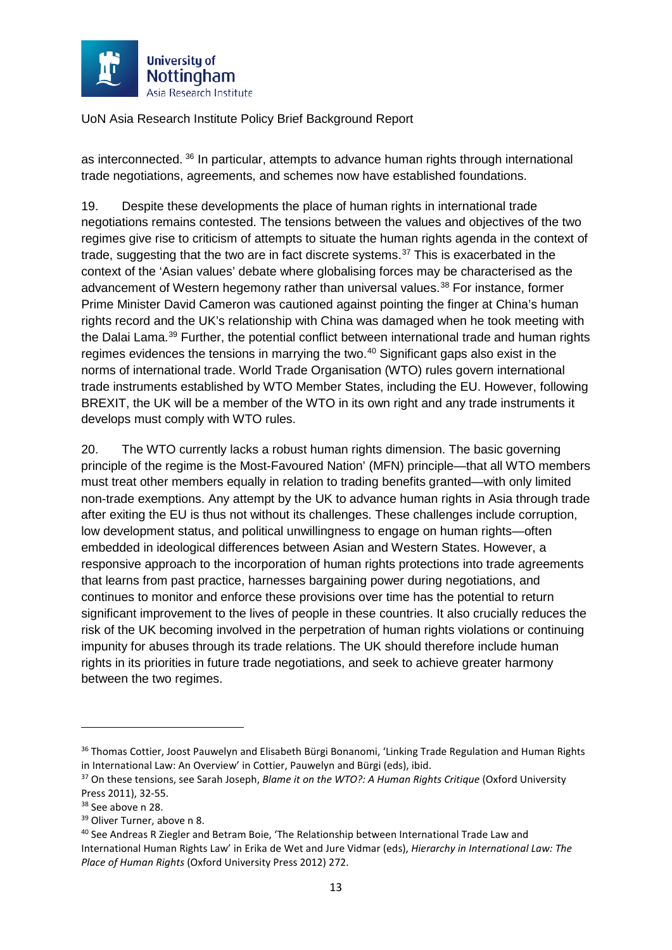

as interconnected. [36](#page-13-0) In particular, attempts to advance human rights through international trade negotiations, agreements, and schemes now have established foundations.

19. Despite these developments the place of human rights in international trade negotiations remains contested. The tensions between the values and objectives of the two regimes give rise to criticism of attempts to situate the human rights agenda in the context of trade, suggesting that the two are in fact discrete systems.<sup>[37](#page-13-1)</sup> This is exacerbated in the context of the 'Asian values' debate where globalising forces may be characterised as the advancement of Western hegemony rather than universal values.<sup>[38](#page-13-2)</sup> For instance, former Prime Minister David Cameron was cautioned against pointing the finger at China's human rights record and the UK's relationship with China was damaged when he took meeting with the Dalai Lama.<sup>[39](#page-13-3)</sup> Further, the potential conflict between international trade and human rights regimes evidences the tensions in marrying the two.<sup>[40](#page-13-4)</sup> Significant gaps also exist in the norms of international trade. World Trade Organisation (WTO) rules govern international trade instruments established by WTO Member States, including the EU. However, following BREXIT, the UK will be a member of the WTO in its own right and any trade instruments it develops must comply with WTO rules.

20. The WTO currently lacks a robust human rights dimension. The basic governing principle of the regime is the Most-Favoured Nation' (MFN) principle—that all WTO members must treat other members equally in relation to trading benefits granted—with only limited non-trade exemptions. Any attempt by the UK to advance human rights in Asia through trade after exiting the EU is thus not without its challenges. These challenges include corruption, low development status, and political unwillingness to engage on human rights—often embedded in ideological differences between Asian and Western States. However, a responsive approach to the incorporation of human rights protections into trade agreements that learns from past practice, harnesses bargaining power during negotiations, and continues to monitor and enforce these provisions over time has the potential to return significant improvement to the lives of people in these countries. It also crucially reduces the risk of the UK becoming involved in the perpetration of human rights violations or continuing impunity for abuses through its trade relations. The UK should therefore include human rights in its priorities in future trade negotiations, and seek to achieve greater harmony between the two regimes.

<span id="page-13-0"></span><sup>&</sup>lt;sup>36</sup> Thomas Cottier, Joost Pauwelyn and Elisabeth Bürgi Bonanomi, 'Linking Trade Regulation and Human Rights in International Law: An Overview' in Cottier, Pauwelyn and Bürgi (eds), ibid.

<span id="page-13-1"></span><sup>37</sup> On these tensions, see Sarah Joseph, *Blame it on the WTO?: A Human Rights Critique* (Oxford University Press 2011), 32-55.

<span id="page-13-2"></span><sup>&</sup>lt;sup>38</sup> See above n [28.](#page-7-3)

<span id="page-13-3"></span><sup>&</sup>lt;sup>39</sup> Oliver Turner, above n [8.](#page-3-5)

<span id="page-13-4"></span><sup>40</sup> See Andreas R Ziegler and Betram Boie, 'The Relationship between International Trade Law and International Human Rights Law' in Erika de Wet and Jure Vidmar (eds), *Hierarchy in International Law: The Place of Human Rights* (Oxford University Press 2012) 272.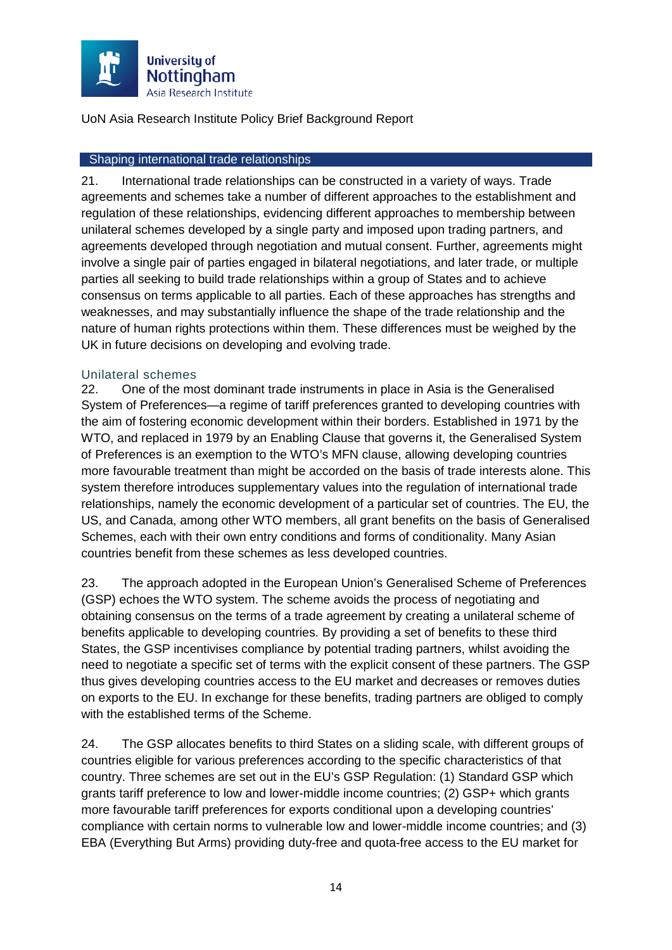

#### <span id="page-14-0"></span>Shaping international trade relationships

21. International trade relationships can be constructed in a variety of ways. Trade agreements and schemes take a number of different approaches to the establishment and regulation of these relationships, evidencing different approaches to membership between unilateral schemes developed by a single party and imposed upon trading partners, and agreements developed through negotiation and mutual consent. Further, agreements might involve a single pair of parties engaged in bilateral negotiations, and later trade, or multiple parties all seeking to build trade relationships within a group of States and to achieve consensus on terms applicable to all parties. Each of these approaches has strengths and weaknesses, and may substantially influence the shape of the trade relationship and the nature of human rights protections within them. These differences must be weighed by the UK in future decisions on developing and evolving trade.

#### <span id="page-14-1"></span>Unilateral schemes

22. One of the most dominant trade instruments in place in Asia is the Generalised System of Preferences—a regime of tariff preferences granted to developing countries with the aim of fostering economic development within their borders. Established in 1971 by the WTO, and replaced in 1979 by an Enabling Clause that governs it, the Generalised System of Preferences is an exemption to the WTO's MFN clause, allowing developing countries more favourable treatment than might be accorded on the basis of trade interests alone. This system therefore introduces supplementary values into the regulation of international trade relationships, namely the economic development of a particular set of countries. The EU, the US, and Canada, among other WTO members, all grant benefits on the basis of Generalised Schemes, each with their own entry conditions and forms of conditionality. Many Asian countries benefit from these schemes as less developed countries.

23. The approach adopted in the European Union's Generalised Scheme of Preferences (GSP) echoes the WTO system. The scheme avoids the process of negotiating and obtaining consensus on the terms of a trade agreement by creating a unilateral scheme of benefits applicable to developing countries. By providing a set of benefits to these third States, the GSP incentivises compliance by potential trading partners, whilst avoiding the need to negotiate a specific set of terms with the explicit consent of these partners. The GSP thus gives developing countries access to the EU market and decreases or removes duties on exports to the EU. In exchange for these benefits, trading partners are obliged to comply with the established terms of the Scheme.

<span id="page-14-2"></span>24. The GSP allocates benefits to third States on a sliding scale, with different groups of countries eligible for various preferences according to the specific characteristics of that country. Three schemes are set out in the EU's GSP Regulation: (1) Standard GSP which grants tariff preference to low and lower-middle income countries; (2) GSP+ which grants more favourable tariff preferences for exports conditional upon a developing countries' compliance with certain norms to vulnerable low and lower-middle income countries; and (3) EBA (Everything But Arms) providing duty-free and quota-free access to the EU market for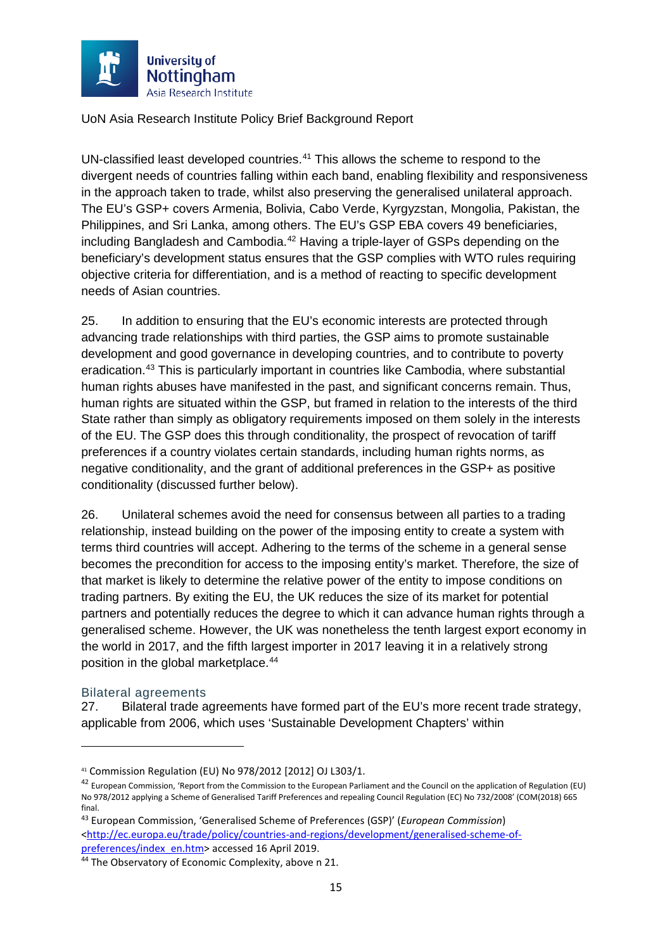

UN-classified least developed countries.<sup>[41](#page-15-1)</sup> This allows the scheme to respond to the divergent needs of countries falling within each band, enabling flexibility and responsiveness in the approach taken to trade, whilst also preserving the generalised unilateral approach. The EU's GSP+ covers Armenia, Bolivia, Cabo Verde, Kyrgyzstan, Mongolia, Pakistan, the Philippines, and Sri Lanka, among others. The EU's GSP EBA covers 49 beneficiaries, including Bangladesh and Cambodia. [42](#page-15-2) Having a triple-layer of GSPs depending on the beneficiary's development status ensures that the GSP complies with WTO rules requiring objective criteria for differentiation, and is a method of reacting to specific development needs of Asian countries.

25. In addition to ensuring that the EU's economic interests are protected through advancing trade relationships with third parties, the GSP aims to promote sustainable development and good governance in developing countries, and to contribute to poverty eradication.[43](#page-15-3) This is particularly important in countries like Cambodia, where substantial human rights abuses have manifested in the past, and significant concerns remain. Thus, human rights are situated within the GSP, but framed in relation to the interests of the third State rather than simply as obligatory requirements imposed on them solely in the interests of the EU. The GSP does this through conditionality, the prospect of revocation of tariff preferences if a country violates certain standards, including human rights norms, as negative conditionality, and the grant of additional preferences in the GSP+ as positive conditionality (discussed further below).

26. Unilateral schemes avoid the need for consensus between all parties to a trading relationship, instead building on the power of the imposing entity to create a system with terms third countries will accept. Adhering to the terms of the scheme in a general sense becomes the precondition for access to the imposing entity's market. Therefore, the size of that market is likely to determine the relative power of the entity to impose conditions on trading partners. By exiting the EU, the UK reduces the size of its market for potential partners and potentially reduces the degree to which it can advance human rights through a generalised scheme. However, the UK was nonetheless the tenth largest export economy in the world in 2017, and the fifth largest importer in 2017 leaving it in a relatively strong position in the global marketplace.<sup>[44](#page-15-4)</sup>

#### <span id="page-15-0"></span>Bilateral agreements

 $\overline{a}$ 

27. Bilateral trade agreements have formed part of the EU's more recent trade strategy, applicable from 2006, which uses 'Sustainable Development Chapters' within

<span id="page-15-1"></span><sup>41</sup> Commission Regulation (EU) No 978/2012 [2012] OJ L303/1.

<span id="page-15-2"></span><sup>42</sup> European Commission, 'Report from the Commission to the European Parliament and the Council on the application of Regulation (EU) No 978/2012 applying a Scheme of Generalised Tariff Preferences and repealing Council Regulation (EC) No 732/2008' (COM(2018) 665 final.

<span id="page-15-3"></span><sup>43</sup> European Commission, 'Generalised Scheme of Preferences (GSP)' (*European Commission*) [<http://ec.europa.eu/trade/policy/countries-and-regions/development/generalised-scheme-of](http://ec.europa.eu/trade/policy/countries-and-regions/development/generalised-scheme-of-preferences/index_en.htm)[preferences/index\\_en.htm>](http://ec.europa.eu/trade/policy/countries-and-regions/development/generalised-scheme-of-preferences/index_en.htm) accessed 16 April 2019.<br><sup>44</sup> The Observatory of Economic Complexity, above n [21.](#page-5-9)

<span id="page-15-4"></span>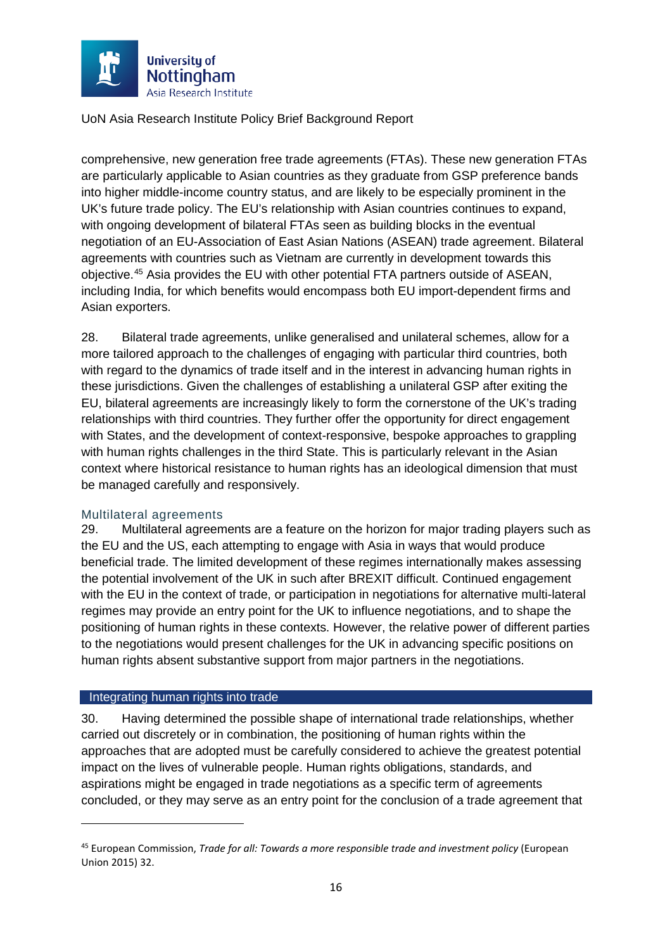

comprehensive, new generation free trade agreements (FTAs). These new generation FTAs are particularly applicable to Asian countries as they graduate from GSP preference bands into higher middle-income country status, and are likely to be especially prominent in the UK's future trade policy. The EU's relationship with Asian countries continues to expand, with ongoing development of bilateral FTAs seen as building blocks in the eventual negotiation of an EU-Association of East Asian Nations (ASEAN) trade agreement. Bilateral agreements with countries such as Vietnam are currently in development towards this objective.[45](#page-16-2) Asia provides the EU with other potential FTA partners outside of ASEAN, including India, for which benefits would encompass both EU import-dependent firms and Asian exporters.

28. Bilateral trade agreements, unlike generalised and unilateral schemes, allow for a more tailored approach to the challenges of engaging with particular third countries, both with regard to the dynamics of trade itself and in the interest in advancing human rights in these jurisdictions. Given the challenges of establishing a unilateral GSP after exiting the EU, bilateral agreements are increasingly likely to form the cornerstone of the UK's trading relationships with third countries. They further offer the opportunity for direct engagement with States, and the development of context-responsive, bespoke approaches to grappling with human rights challenges in the third State. This is particularly relevant in the Asian context where historical resistance to human rights has an ideological dimension that must be managed carefully and responsively.

#### <span id="page-16-0"></span>Multilateral agreements

29. Multilateral agreements are a feature on the horizon for major trading players such as the EU and the US, each attempting to engage with Asia in ways that would produce beneficial trade. The limited development of these regimes internationally makes assessing the potential involvement of the UK in such after BREXIT difficult. Continued engagement with the EU in the context of trade, or participation in negotiations for alternative multi-lateral regimes may provide an entry point for the UK to influence negotiations, and to shape the positioning of human rights in these contexts. However, the relative power of different parties to the negotiations would present challenges for the UK in advancing specific positions on human rights absent substantive support from major partners in the negotiations.

#### <span id="page-16-1"></span>Integrating human rights into trade

**.** 

30. Having determined the possible shape of international trade relationships, whether carried out discretely or in combination, the positioning of human rights within the approaches that are adopted must be carefully considered to achieve the greatest potential impact on the lives of vulnerable people. Human rights obligations, standards, and aspirations might be engaged in trade negotiations as a specific term of agreements concluded, or they may serve as an entry point for the conclusion of a trade agreement that

<span id="page-16-2"></span><sup>45</sup> European Commission, *Trade for all: Towards a more responsible trade and investment policy* (European Union 2015) 32.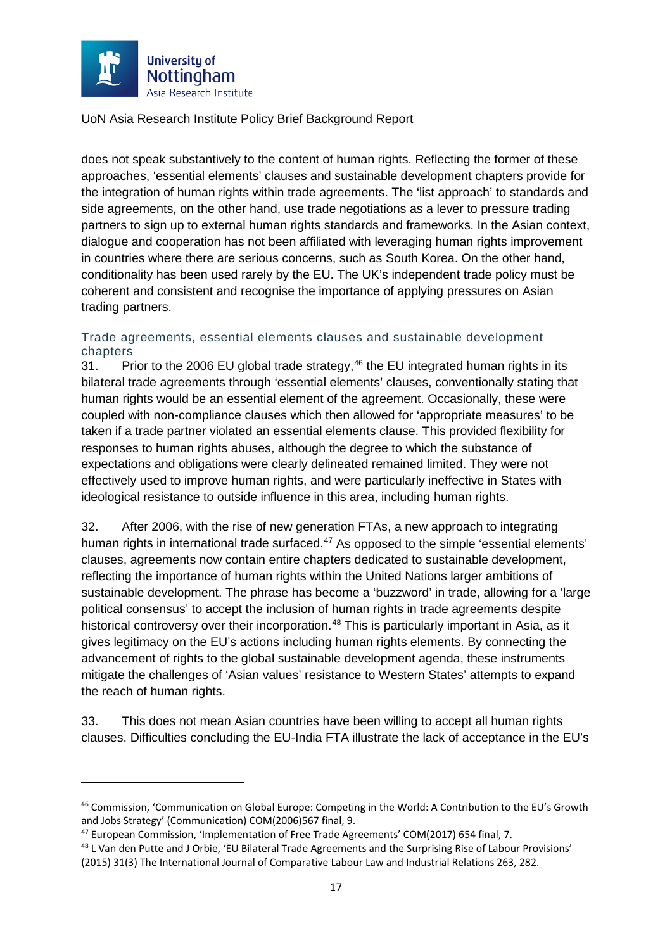

does not speak substantively to the content of human rights. Reflecting the former of these approaches, 'essential elements' clauses and sustainable development chapters provide for the integration of human rights within trade agreements. The 'list approach' to standards and side agreements, on the other hand, use trade negotiations as a lever to pressure trading partners to sign up to external human rights standards and frameworks. In the Asian context, dialogue and cooperation has not been affiliated with leveraging human rights improvement in countries where there are serious concerns, such as South Korea. On the other hand, conditionality has been used rarely by the EU. The UK's independent trade policy must be coherent and consistent and recognise the importance of applying pressures on Asian trading partners.

## <span id="page-17-0"></span>Trade agreements, essential elements clauses and sustainable development chapters<br>31. Pr

Prior to the 2006 EU global trade strategy,<sup>[46](#page-17-1)</sup> the EU integrated human rights in its bilateral trade agreements through 'essential elements' clauses, conventionally stating that human rights would be an essential element of the agreement. Occasionally, these were coupled with non-compliance clauses which then allowed for 'appropriate measures' to be taken if a trade partner violated an essential elements clause. This provided flexibility for responses to human rights abuses, although the degree to which the substance of expectations and obligations were clearly delineated remained limited. They were not effectively used to improve human rights, and were particularly ineffective in States with ideological resistance to outside influence in this area, including human rights.

32. After 2006, with the rise of new generation FTAs, a new approach to integrating human rights in international trade surfaced.<sup>[47](#page-17-2)</sup> As opposed to the simple 'essential elements' clauses, agreements now contain entire chapters dedicated to sustainable development, reflecting the importance of human rights within the United Nations larger ambitions of sustainable development. The phrase has become a 'buzzword' in trade, allowing for a 'large political consensus' to accept the inclusion of human rights in trade agreements despite historical controversy over their incorporation.<sup>[48](#page-17-3)</sup> This is particularly important in Asia, as it gives legitimacy on the EU's actions including human rights elements. By connecting the advancement of rights to the global sustainable development agenda, these instruments mitigate the challenges of 'Asian values' resistance to Western States' attempts to expand the reach of human rights.

33. This does not mean Asian countries have been willing to accept all human rights clauses. Difficulties concluding the EU-India FTA illustrate the lack of acceptance in the EU's

<u>.</u>

<span id="page-17-1"></span><sup>46</sup> Commission, 'Communication on Global Europe: Competing in the World: A Contribution to the EU's Growth and Jobs Strategy' (Communication) COM(2006)567 final, 9.

<span id="page-17-2"></span><sup>47</sup> European Commission, 'Implementation of Free Trade Agreements' COM(2017) 654 final, 7.

<span id="page-17-3"></span><sup>48</sup> L Van den Putte and J Orbie, 'EU Bilateral Trade Agreements and the Surprising Rise of Labour Provisions' (2015) 31(3) The International Journal of Comparative Labour Law and Industrial Relations 263, 282.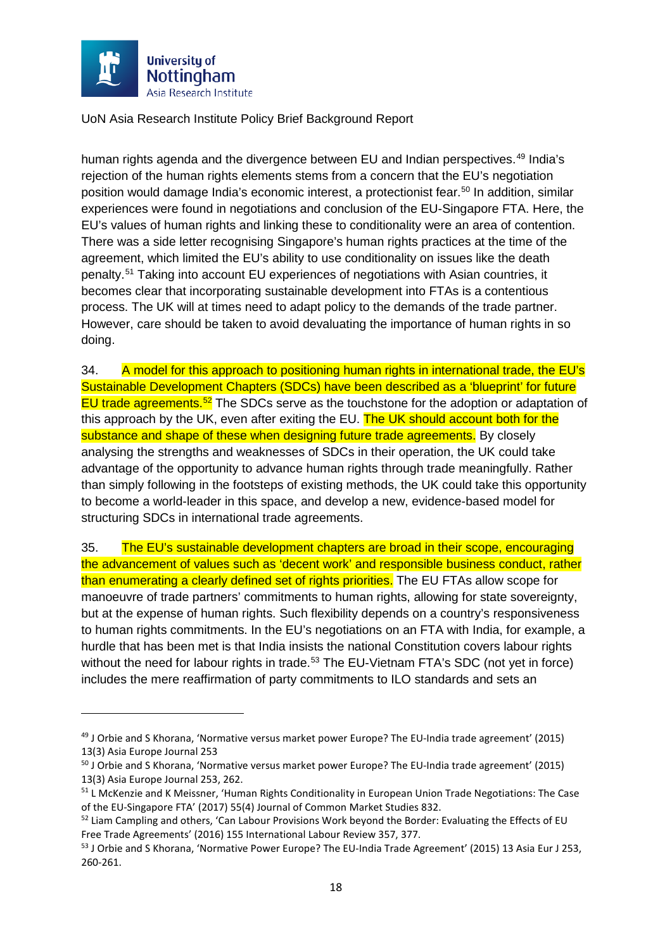

 $\overline{a}$ 

UoN Asia Research Institute Policy Brief Background Report

human rights agenda and the divergence between EU and Indian perspectives.<sup>[49](#page-18-0)</sup> India's rejection of the human rights elements stems from a concern that the EU's negotiation position would damage India's economic interest, a protectionist fear. [50](#page-18-1) In addition, similar experiences were found in negotiations and conclusion of the EU-Singapore FTA. Here, the EU's values of human rights and linking these to conditionality were an area of contention. There was a side letter recognising Singapore's human rights practices at the time of the agreement, which limited the EU's ability to use conditionality on issues like the death penalty.[51](#page-18-2) Taking into account EU experiences of negotiations with Asian countries, it becomes clear that incorporating sustainable development into FTAs is a contentious process. The UK will at times need to adapt policy to the demands of the trade partner. However, care should be taken to avoid devaluating the importance of human rights in so doing.

34. A model for this approach to positioning human rights in international trade, the EU's Sustainable Development Chapters (SDCs) have been described as a 'blueprint' for future EU trade agreements.<sup>[52](#page-18-3)</sup> The SDCs serve as the touchstone for the adoption or adaptation of this approach by the UK, even after exiting the EU. The UK should account both for the substance and shape of these when designing future trade agreements. By closely analysing the strengths and weaknesses of SDCs in their operation, the UK could take advantage of the opportunity to advance human rights through trade meaningfully. Rather than simply following in the footsteps of existing methods, the UK could take this opportunity to become a world-leader in this space, and develop a new, evidence-based model for structuring SDCs in international trade agreements.

<span id="page-18-5"></span>35. The EU's sustainable development chapters are broad in their scope, encouraging the advancement of values such as 'decent work' and responsible business conduct, rather than enumerating a clearly defined set of rights priorities. The EU FTAs allow scope for manoeuvre of trade partners' commitments to human rights, allowing for state sovereignty, but at the expense of human rights. Such flexibility depends on a country's responsiveness to human rights commitments. In the EU's negotiations on an FTA with India, for example, a hurdle that has been met is that India insists the national Constitution covers labour rights without the need for labour rights in trade.<sup>[53](#page-18-4)</sup> The EU-Vietnam FTA's SDC (not yet in force) includes the mere reaffirmation of party commitments to ILO standards and sets an

<span id="page-18-0"></span><sup>49</sup> J Orbie and S Khorana, 'Normative versus market power Europe? The EU-India trade agreement' (2015) 13(3) Asia Europe Journal 253

<span id="page-18-1"></span><sup>50</sup> J Orbie and S Khorana, 'Normative versus market power Europe? The EU-India trade agreement' (2015) 13(3) Asia Europe Journal 253, 262.

<span id="page-18-2"></span><sup>&</sup>lt;sup>51</sup> L McKenzie and K Meissner, 'Human Rights Conditionality in European Union Trade Negotiations: The Case of the EU-Singapore FTA' (2017) 55(4) Journal of Common Market Studies 832.

<span id="page-18-3"></span><sup>52</sup> Liam Campling and others, 'Can Labour Provisions Work beyond the Border: Evaluating the Effects of EU Free Trade Agreements' (2016) 155 International Labour Review 357, 377.

<span id="page-18-4"></span><sup>53</sup> J Orbie and S Khorana, 'Normative Power Europe? The EU-India Trade Agreement' (2015) 13 Asia Eur J 253, 260-261.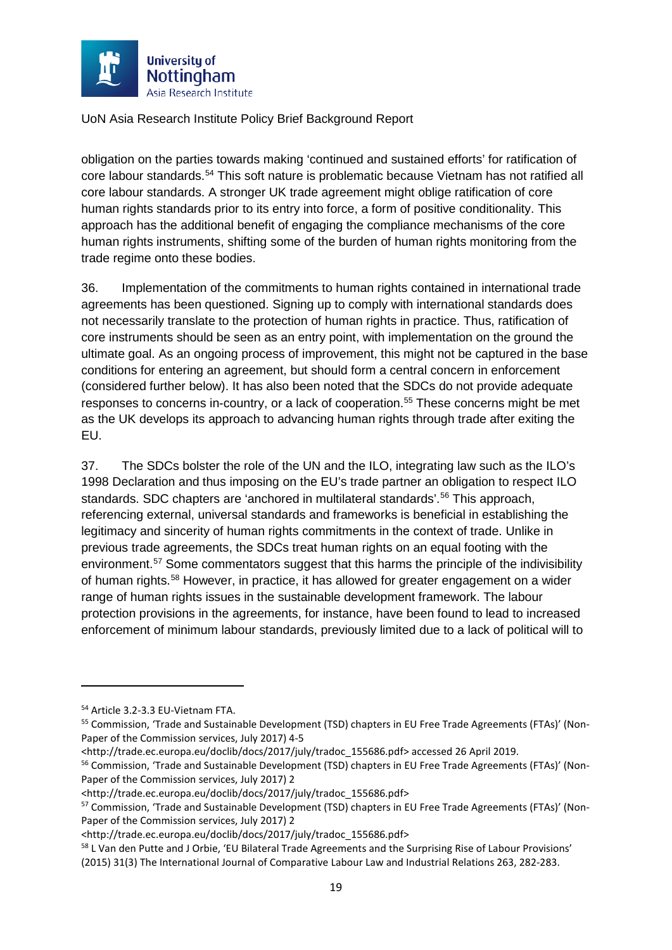

obligation on the parties towards making 'continued and sustained efforts' for ratification of core labour standards.[54](#page-19-0) This soft nature is problematic because Vietnam has not ratified all core labour standards. A stronger UK trade agreement might oblige ratification of core human rights standards prior to its entry into force, a form of positive conditionality. This approach has the additional benefit of engaging the compliance mechanisms of the core human rights instruments, shifting some of the burden of human rights monitoring from the trade regime onto these bodies.

36. Implementation of the commitments to human rights contained in international trade agreements has been questioned. Signing up to comply with international standards does not necessarily translate to the protection of human rights in practice. Thus, ratification of core instruments should be seen as an entry point, with implementation on the ground the ultimate goal. As an ongoing process of improvement, this might not be captured in the base conditions for entering an agreement, but should form a central concern in enforcement (considered further below). It has also been noted that the SDCs do not provide adequate responses to concerns in-country, or a lack of cooperation.<sup>[55](#page-19-1)</sup> These concerns might be met as the UK develops its approach to advancing human rights through trade after exiting the EU.

37. The SDCs bolster the role of the UN and the ILO, integrating law such as the ILO's 1998 Declaration and thus imposing on the EU's trade partner an obligation to respect ILO standards. SDC chapters are 'anchored in multilateral standards'.<sup>[56](#page-19-2)</sup> This approach, referencing external, universal standards and frameworks is beneficial in establishing the legitimacy and sincerity of human rights commitments in the context of trade. Unlike in previous trade agreements, the SDCs treat human rights on an equal footing with the environment.<sup>[57](#page-19-3)</sup> Some commentators suggest that this harms the principle of the indivisibility of human rights.<sup>[58](#page-19-4)</sup> However, in practice, it has allowed for greater engagement on a wider range of human rights issues in the sustainable development framework. The labour protection provisions in the agreements, for instance, have been found to lead to increased enforcement of minimum labour standards, previously limited due to a lack of political will to

 $\overline{a}$ 

<span id="page-19-0"></span><sup>54</sup> Article 3.2-3.3 EU-Vietnam FTA.

<span id="page-19-1"></span><sup>55</sup> Commission, 'Trade and Sustainable Development (TSD) chapters in EU Free Trade Agreements (FTAs)' (Non-Paper of the Commission services, July 2017) 4-5

<sup>&</sup>lt;http://trade.ec.europa.eu/doclib/docs/2017/july/tradoc\_155686.pdf> accessed 26 April 2019.

<span id="page-19-2"></span><sup>&</sup>lt;sup>56</sup> Commission, 'Trade and Sustainable Development (TSD) chapters in EU Free Trade Agreements (FTAs)' (Non-Paper of the Commission services, July 2017) 2

<sup>&</sup>lt;http://trade.ec.europa.eu/doclib/docs/2017/july/tradoc\_155686.pdf>

<span id="page-19-3"></span><sup>&</sup>lt;sup>57</sup> Commission, 'Trade and Sustainable Development (TSD) chapters in EU Free Trade Agreements (FTAs)' (Non-Paper of the Commission services, July 2017) 2

<sup>&</sup>lt;http://trade.ec.europa.eu/doclib/docs/2017/july/tradoc\_155686.pdf>

<span id="page-19-4"></span><sup>&</sup>lt;sup>58</sup> L Van den Putte and J Orbie, 'EU Bilateral Trade Agreements and the Surprising Rise of Labour Provisions' (2015) 31(3) The International Journal of Comparative Labour Law and Industrial Relations 263, 282-283.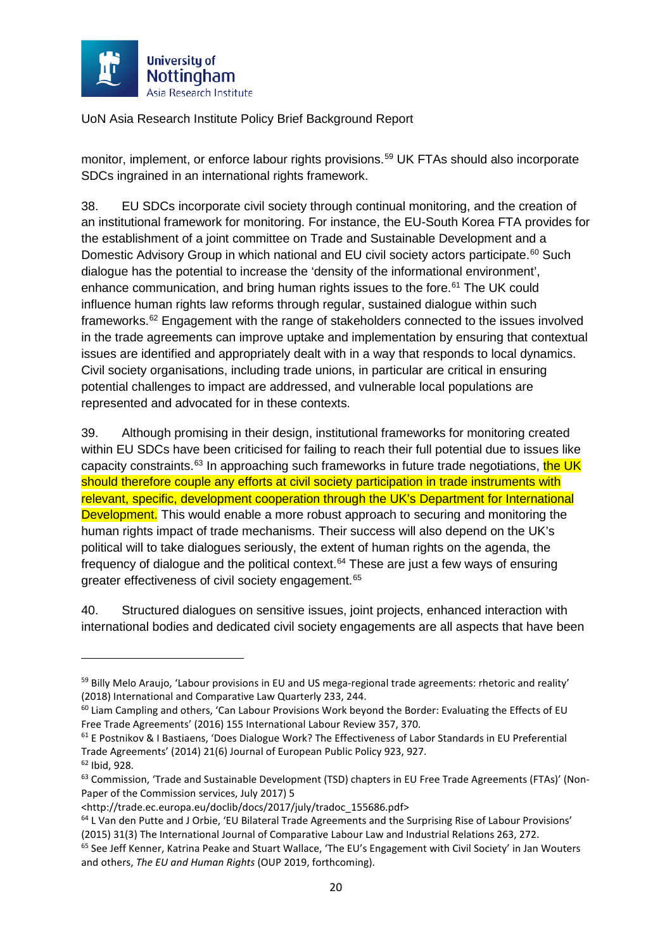

monitor, implement, or enforce labour rights provisions.<sup>[59](#page-20-0)</sup> UK FTAs should also incorporate SDCs ingrained in an international rights framework.

<span id="page-20-7"></span>38. EU SDCs incorporate civil society through continual monitoring, and the creation of an institutional framework for monitoring. For instance, the EU-South Korea FTA provides for the establishment of a joint committee on Trade and Sustainable Development and a Domestic Advisory Group in which national and EU civil society actors participate.<sup>[60](#page-20-1)</sup> Such dialogue has the potential to increase the 'density of the informational environment', enhance communication, and bring human rights issues to the fore.<sup>[61](#page-20-2)</sup> The UK could influence human rights law reforms through regular, sustained dialogue within such frameworks.<sup>[62](#page-20-3)</sup> Engagement with the range of stakeholders connected to the issues involved in the trade agreements can improve uptake and implementation by ensuring that contextual issues are identified and appropriately dealt with in a way that responds to local dynamics. Civil society organisations, including trade unions, in particular are critical in ensuring potential challenges to impact are addressed, and vulnerable local populations are represented and advocated for in these contexts.

39. Although promising in their design, institutional frameworks for monitoring created within EU SDCs have been criticised for failing to reach their full potential due to issues like capacity constraints.<sup>[63](#page-20-4)</sup> In approaching such frameworks in future trade negotiations, the UK should therefore couple any efforts at civil society participation in trade instruments with relevant, specific, development cooperation through the UK's Department for International Development. This would enable a more robust approach to securing and monitoring the human rights impact of trade mechanisms. Their success will also depend on the UK's political will to take dialogues seriously, the extent of human rights on the agenda, the frequency of dialogue and the political context. $64$  These are just a few ways of ensuring greater effectiveness of civil society engagement.<sup>[65](#page-20-6)</sup>

40. Structured dialogues on sensitive issues, joint projects, enhanced interaction with international bodies and dedicated civil society engagements are all aspects that have been

<span id="page-20-0"></span><sup>&</sup>lt;sup>59</sup> Billy Melo Araujo, 'Labour provisions in EU and US mega-regional trade agreements: rhetoric and reality' (2018) International and Comparative Law Quarterly 233, 244.

<span id="page-20-1"></span><sup>&</sup>lt;sup>60</sup> Liam Campling and others, 'Can Labour Provisions Work beyond the Border: Evaluating the Effects of EU Free Trade Agreements' (2016) 155 International Labour Review 357, 370.

<span id="page-20-2"></span><sup>61</sup> E Postnikov & I Bastiaens, 'Does Dialogue Work? The Effectiveness of Labor Standards in EU Preferential Trade Agreements' (2014) 21(6) Journal of European Public Policy 923, 927.

<span id="page-20-3"></span><sup>62</sup> Ibid, 928.

<span id="page-20-4"></span><sup>&</sup>lt;sup>63</sup> Commission, 'Trade and Sustainable Development (TSD) chapters in EU Free Trade Agreements (FTAs)' (Non-Paper of the Commission services, July 2017) 5

<sup>&</sup>lt;http://trade.ec.europa.eu/doclib/docs/2017/july/tradoc\_155686.pdf>

<span id="page-20-5"></span><sup>64</sup> L Van den Putte and J Orbie, 'EU Bilateral Trade Agreements and the Surprising Rise of Labour Provisions' (2015) 31(3) The International Journal of Comparative Labour Law and Industrial Relations 263, 272.

<span id="page-20-6"></span><sup>&</sup>lt;sup>65</sup> See Jeff Kenner, Katrina Peake and Stuart Wallace, 'The EU's Engagement with Civil Society' in Jan Wouters and others, *The EU and Human Rights* (OUP 2019, forthcoming).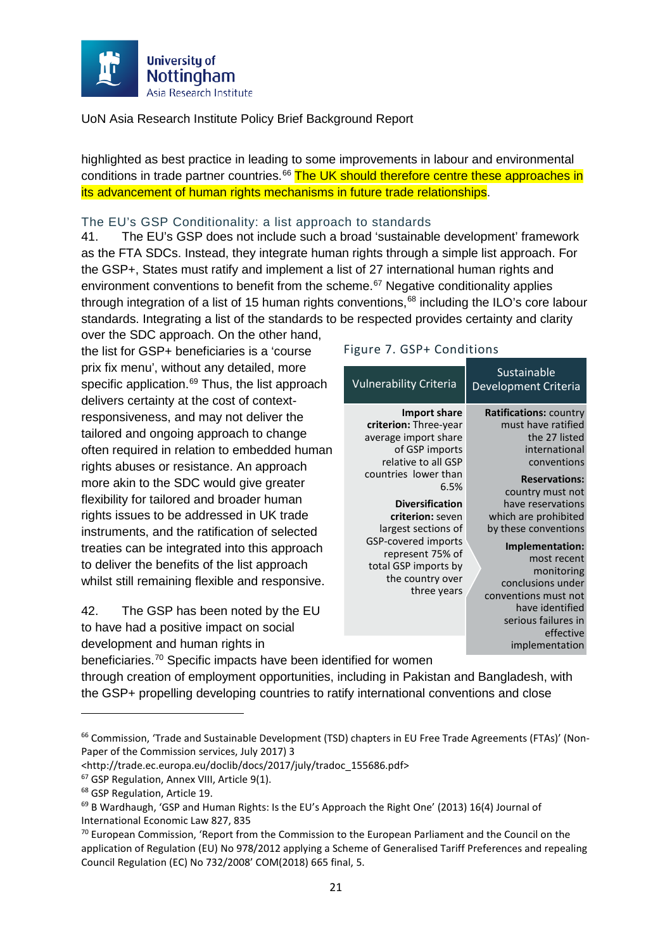

highlighted as best practice in leading to some improvements in labour and environmental conditions in trade partner countries.<sup>[66](#page-21-1)</sup> The UK should therefore centre these approaches in its advancement of human rights mechanisms in future trade relationships.

#### <span id="page-21-0"></span>The EU's GSP Conditionality: a list approach to standards

41. The EU's GSP does not include such a broad 'sustainable development' framework as the FTA SDCs. Instead, they integrate human rights through a simple list approach. For the GSP+, States must ratify and implement a list of 27 international human rights and environment conventions to benefit from the scheme. [67](#page-21-2) Negative conditionality applies through integration of a list of 15 human rights conventions,  $68$  including the ILO's core labour standards. Integrating a list of the standards to be respected provides certainty and clarity

over the SDC approach. On the other hand, the list for GSP+ beneficiaries is a 'course prix fix menu', without any detailed, more specific application.<sup>[69](#page-21-4)</sup> Thus, the list approach delivers certainty at the cost of contextresponsiveness, and may not deliver the tailored and ongoing approach to change often required in relation to embedded human rights abuses or resistance. An approach more akin to the SDC would give greater flexibility for tailored and broader human rights issues to be addressed in UK trade instruments, and the ratification of selected treaties can be integrated into this approach to deliver the benefits of the list approach whilst still remaining flexible and responsive.

42. The GSP has been noted by the EU to have had a positive impact on social development and human rights in

#### Figure 7. GSP+ Conditions

| <b>Vulnerability Criteria</b>                                                                                                                                                                                                                                                                                     | Sustainable<br><b>Development Criteria</b>                                                                                                                                                                                                                                                                                                                                |
|-------------------------------------------------------------------------------------------------------------------------------------------------------------------------------------------------------------------------------------------------------------------------------------------------------------------|---------------------------------------------------------------------------------------------------------------------------------------------------------------------------------------------------------------------------------------------------------------------------------------------------------------------------------------------------------------------------|
| Import share<br>criterion: Three-year<br>average import share<br>of GSP imports<br>relative to all GSP<br>countries lower than<br>6.5%<br><b>Diversification</b><br>criterion: seven<br>largest sections of<br>GSP-covered imports<br>represent 75% of<br>total GSP imports by<br>the country over<br>three years | <b>Ratifications: country</b><br>must have ratified<br>the 27 listed<br>international<br>conventions<br><b>Reservations:</b><br>country must not<br>have reservations<br>which are prohibited<br>by these conventions<br>Implementation:<br>most recent<br>monitoring<br>conclusions under<br>conventions must not<br>have identified<br>serious failures in<br>effective |
| ntified for women                                                                                                                                                                                                                                                                                                 | implementation                                                                                                                                                                                                                                                                                                                                                            |

beneficiaries.[70](#page-21-5) Specific impacts have been identified for women

through creation of employment opportunities, including in Pakistan and Bangladesh, with the GSP+ propelling developing countries to ratify international conventions and close

 $\overline{a}$ 

<span id="page-21-1"></span><sup>&</sup>lt;sup>66</sup> Commission, 'Trade and Sustainable Development (TSD) chapters in EU Free Trade Agreements (FTAs)' (Non-Paper of the Commission services, July 2017) 3

<sup>&</sup>lt;http://trade.ec.europa.eu/doclib/docs/2017/july/tradoc\_155686.pdf> 67 GSP Regulation, Annex VIII, Article 9(1).

<span id="page-21-3"></span><span id="page-21-2"></span><sup>68</sup> GSP Regulation, Article 19.

<span id="page-21-4"></span> $<sup>69</sup>$  B Wardhaugh, 'GSP and Human Rights: Is the EU's Approach the Right One' (2013) 16(4) Journal of</sup> International Economic Law 827, 835

<span id="page-21-5"></span> $70$  European Commission, 'Report from the Commission to the European Parliament and the Council on the application of Regulation (EU) No 978/2012 applying a Scheme of Generalised Tariff Preferences and repealing Council Regulation (EC) No 732/2008' COM(2018) 665 final, 5.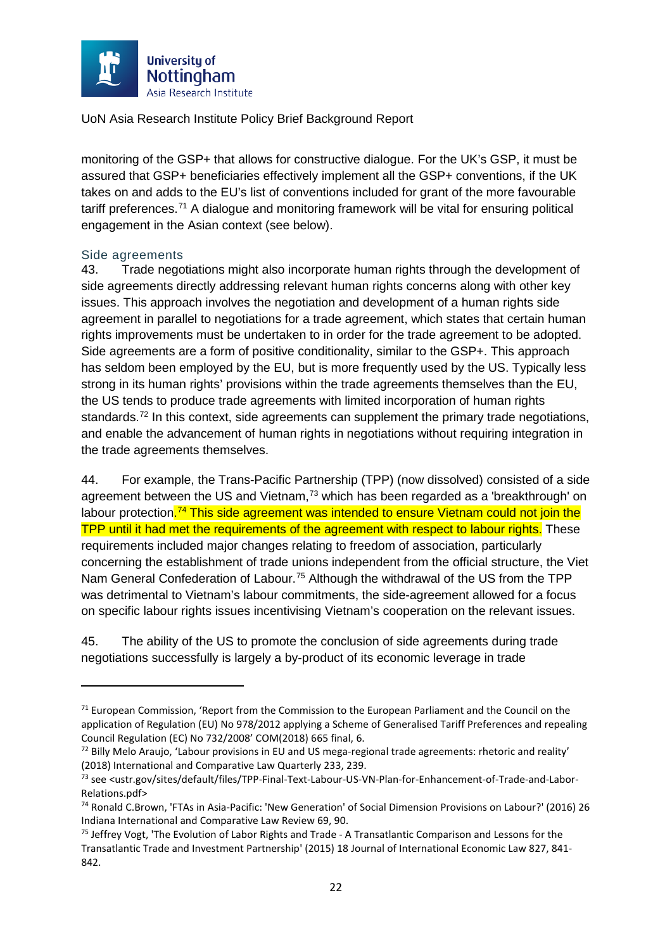

monitoring of the GSP+ that allows for constructive dialogue. For the UK's GSP, it must be assured that GSP+ beneficiaries effectively implement all the GSP+ conventions, if the UK takes on and adds to the EU's list of conventions included for grant of the more favourable tariff preferences.<sup>[71](#page-22-1)</sup> A dialogue and monitoring framework will be vital for ensuring political engagement in the Asian context (see below).

#### <span id="page-22-0"></span>Side agreements

 $\overline{a}$ 

43. Trade negotiations might also incorporate human rights through the development of side agreements directly addressing relevant human rights concerns along with other key issues. This approach involves the negotiation and development of a human rights side agreement in parallel to negotiations for a trade agreement, which states that certain human rights improvements must be undertaken to in order for the trade agreement to be adopted. Side agreements are a form of positive conditionality, similar to the GSP+. This approach has seldom been employed by the EU, but is more frequently used by the US. Typically less strong in its human rights' provisions within the trade agreements themselves than the EU, the US tends to produce trade agreements with limited incorporation of human rights standards.<sup>[72](#page-22-2)</sup> In this context, side agreements can supplement the primary trade negotiations, and enable the advancement of human rights in negotiations without requiring integration in the trade agreements themselves.

44. For example, the Trans-Pacific Partnership (TPP) (now dissolved) consisted of a side agreement between the US and Vietnam, $73$  which has been regarded as a 'breakthrough' on labour protection.<sup>[74](#page-22-4)</sup> This side agreement was intended to ensure Vietnam could not join the TPP until it had met the requirements of the agreement with respect to labour rights. These requirements included major changes relating to freedom of association, particularly concerning the establishment of trade unions independent from the official structure, the Viet Nam General Confederation of Labour.<sup>[75](#page-22-5)</sup> Although the withdrawal of the US from the TPP was detrimental to Vietnam's labour commitments, the side-agreement allowed for a focus on specific labour rights issues incentivising Vietnam's cooperation on the relevant issues.

45. The ability of the US to promote the conclusion of side agreements during trade negotiations successfully is largely a by-product of its economic leverage in trade

<span id="page-22-1"></span> $71$  European Commission, 'Report from the Commission to the European Parliament and the Council on the application of Regulation (EU) No 978/2012 applying a Scheme of Generalised Tariff Preferences and repealing Council Regulation (EC) No 732/2008' COM(2018) 665 final, 6.

<span id="page-22-2"></span><sup>&</sup>lt;sup>72</sup> Billy Melo Araujo, 'Labour provisions in EU and US mega-regional trade agreements: rhetoric and reality' (2018) International and Comparative Law Quarterly 233, 239.

<span id="page-22-3"></span><sup>73</sup> see <ustr.gov/sites/default/files/TPP-Final-Text-Labour-US-VN-Plan-for-Enhancement-of-Trade-and-Labor-Relations.pdf>

<span id="page-22-4"></span><sup>74</sup> Ronald C.Brown, 'FTAs in Asia-Pacific: 'New Generation' of Social Dimension Provisions on Labour?' (2016) 26 Indiana International and Comparative Law Review 69, 90.

<span id="page-22-5"></span><sup>&</sup>lt;sup>75</sup> Jeffrey Vogt, 'The Evolution of Labor Rights and Trade - A Transatlantic Comparison and Lessons for the Transatlantic Trade and Investment Partnership' (2015) 18 Journal of International Economic Law 827, 841- 842.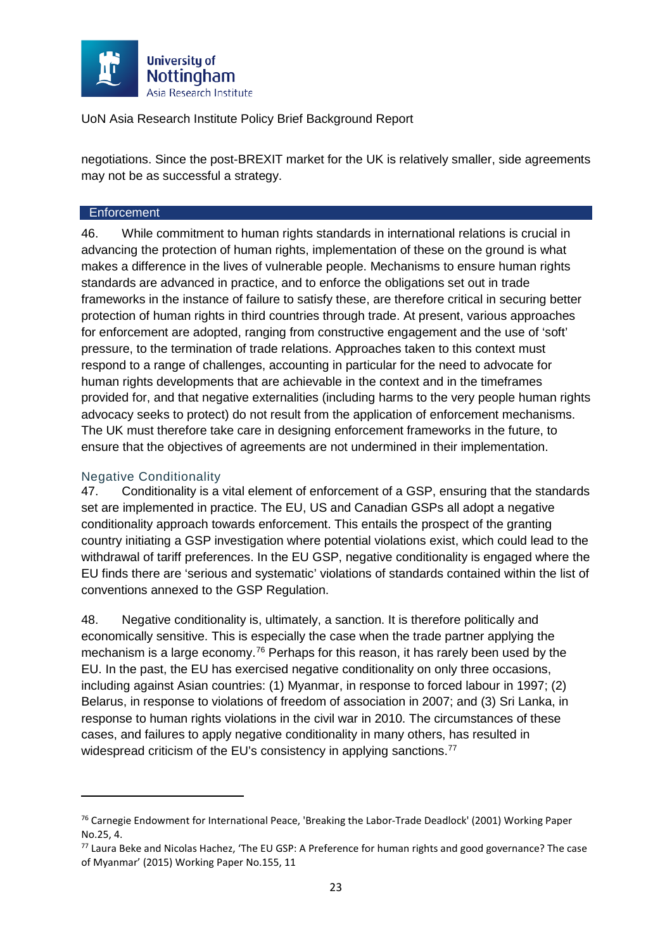

negotiations. Since the post-BREXIT market for the UK is relatively smaller, side agreements may not be as successful a strategy.

#### <span id="page-23-0"></span>**Enforcement**

46. While commitment to human rights standards in international relations is crucial in advancing the protection of human rights, implementation of these on the ground is what makes a difference in the lives of vulnerable people. Mechanisms to ensure human rights standards are advanced in practice, and to enforce the obligations set out in trade frameworks in the instance of failure to satisfy these, are therefore critical in securing better protection of human rights in third countries through trade. At present, various approaches for enforcement are adopted, ranging from constructive engagement and the use of 'soft' pressure, to the termination of trade relations. Approaches taken to this context must respond to a range of challenges, accounting in particular for the need to advocate for human rights developments that are achievable in the context and in the timeframes provided for, and that negative externalities (including harms to the very people human rights advocacy seeks to protect) do not result from the application of enforcement mechanisms. The UK must therefore take care in designing enforcement frameworks in the future, to ensure that the objectives of agreements are not undermined in their implementation.

#### <span id="page-23-1"></span>Negative Conditionality

**.** 

47. Conditionality is a vital element of enforcement of a GSP, ensuring that the standards set are implemented in practice. The EU, US and Canadian GSPs all adopt a negative conditionality approach towards enforcement. This entails the prospect of the granting country initiating a GSP investigation where potential violations exist, which could lead to the withdrawal of tariff preferences. In the EU GSP, negative conditionality is engaged where the EU finds there are 'serious and systematic' violations of standards contained within the list of conventions annexed to the GSP Regulation.

<span id="page-23-4"></span>48. Negative conditionality is, ultimately, a sanction. It is therefore politically and economically sensitive. This is especially the case when the trade partner applying the mechanism is a large economy.<sup>[76](#page-23-2)</sup> Perhaps for this reason, it has rarely been used by the EU. In the past, the EU has exercised negative conditionality on only three occasions, including against Asian countries: (1) Myanmar, in response to forced labour in 1997; (2) Belarus, in response to violations of freedom of association in 2007; and (3) Sri Lanka, in response to human rights violations in the civil war in 2010. The circumstances of these cases, and failures to apply negative conditionality in many others, has resulted in widespread criticism of the EU's consistency in applying sanctions.<sup>[77](#page-23-3)</sup>

<span id="page-23-2"></span><sup>76</sup> Carnegie Endowment for International Peace, 'Breaking the Labor-Trade Deadlock' (2001) Working Paper No.25, 4.

<span id="page-23-3"></span><sup>77</sup> Laura Beke and Nicolas Hachez, 'The EU GSP: A Preference for human rights and good governance? The case of Myanmar' (2015) Working Paper No.155, 11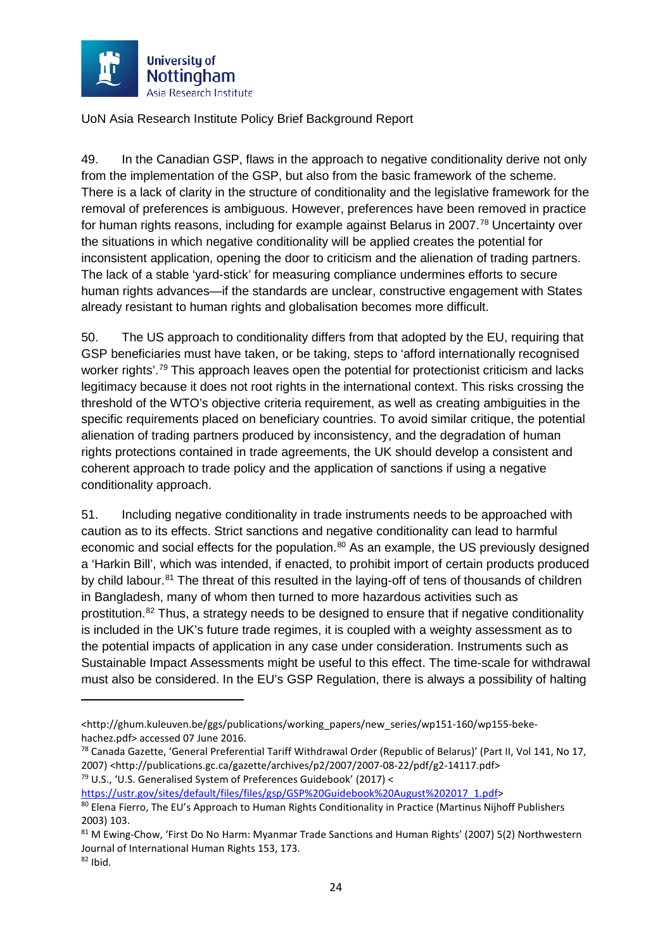

49. In the Canadian GSP, flaws in the approach to negative conditionality derive not only from the implementation of the GSP, but also from the basic framework of the scheme. There is a lack of clarity in the structure of conditionality and the legislative framework for the removal of preferences is ambiguous. However, preferences have been removed in practice for human rights reasons, including for example against Belarus in 2007.<sup>[78](#page-24-0)</sup> Uncertainty over the situations in which negative conditionality will be applied creates the potential for inconsistent application, opening the door to criticism and the alienation of trading partners. The lack of a stable 'yard-stick' for measuring compliance undermines efforts to secure human rights advances—if the standards are unclear, constructive engagement with States already resistant to human rights and globalisation becomes more difficult.

50. The US approach to conditionality differs from that adopted by the EU, requiring that GSP beneficiaries must have taken, or be taking, steps to 'afford internationally recognised worker rights'.<sup>[79](#page-24-1)</sup> This approach leaves open the potential for protectionist criticism and lacks legitimacy because it does not root rights in the international context. This risks crossing the threshold of the WTO's objective criteria requirement, as well as creating ambiguities in the specific requirements placed on beneficiary countries. To avoid similar critique, the potential alienation of trading partners produced by inconsistency, and the degradation of human rights protections contained in trade agreements, the UK should develop a consistent and coherent approach to trade policy and the application of sanctions if using a negative conditionality approach.

<span id="page-24-5"></span>51. Including negative conditionality in trade instruments needs to be approached with caution as to its effects. Strict sanctions and negative conditionality can lead to harmful economic and social effects for the population.<sup>[80](#page-24-2)</sup> As an example, the US previously designed a 'Harkin Bill', which was intended, if enacted, to prohibit import of certain products produced by child labour.<sup>[81](#page-24-3)</sup> The threat of this resulted in the laying-off of tens of thousands of children in Bangladesh, many of whom then turned to more hazardous activities such as prostitution.[82](#page-24-4) Thus, a strategy needs to be designed to ensure that if negative conditionality is included in the UK's future trade regimes, it is coupled with a weighty assessment as to the potential impacts of application in any case under consideration. Instruments such as Sustainable Impact Assessments might be useful to this effect. The time-scale for withdrawal must also be considered. In the EU's GSP Regulation, there is always a possibility of halting

<span id="page-24-1"></span>[https://ustr.gov/sites/default/files/files/gsp/GSP%20Guidebook%20August%202017\\_1.pdf>](https://ustr.gov/sites/default/files/files/gsp/GSP%20Guidebook%20August%202017_1.pdf)

<sup>&</sup>lt;http://ghum.kuleuven.be/ggs/publications/working\_papers/new\_series/wp151-160/wp155-bekehachez.pdf> accessed 07 June 2016.

<span id="page-24-0"></span><sup>78</sup> Canada Gazette, 'General Preferential Tariff Withdrawal Order (Republic of Belarus)' (Part II, Vol 141, No 17, 2007) <http://publications.gc.ca/gazette/archives/p2/2007/2007-08-22/pdf/g2-14117.pdf> 79 U.S., 'U.S. Generalised System of Preferences Guidebook' (2017) <

<span id="page-24-2"></span><sup>80</sup> Elena Fierro, The EU's Approach to Human Rights Conditionality in Practice (Martinus Nijhoff Publishers 2003) 103.

<span id="page-24-4"></span><span id="page-24-3"></span><sup>81</sup> M Ewing-Chow, 'First Do No Harm: Myanmar Trade Sanctions and Human Rights' (2007) 5(2) Northwestern Journal of International Human Rights 153, 173.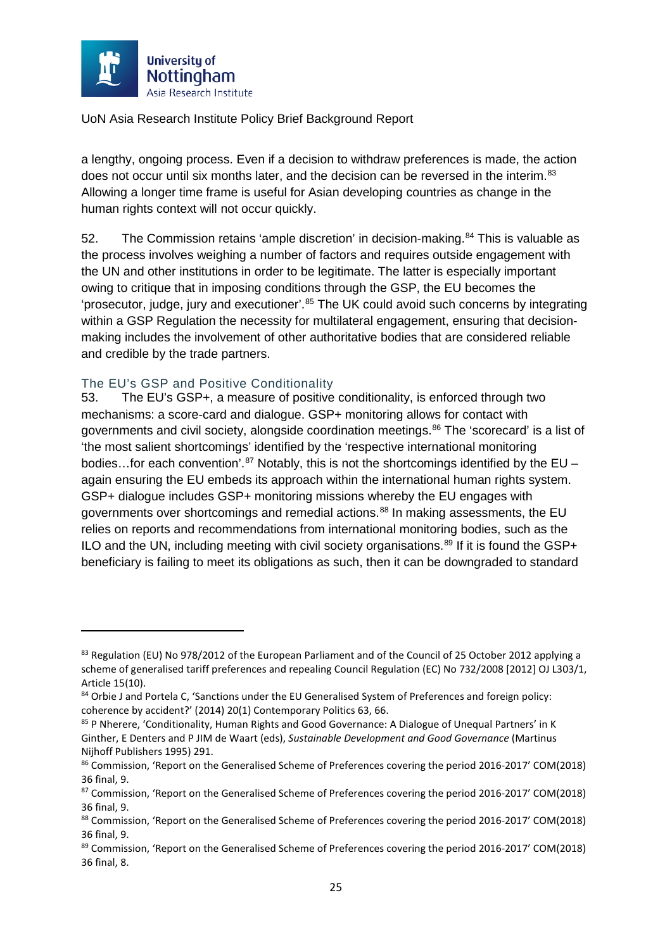

a lengthy, ongoing process. Even if a decision to withdraw preferences is made, the action does not occur until six months later, and the decision can be reversed in the interim.<sup>[83](#page-25-1)</sup> Allowing a longer time frame is useful for Asian developing countries as change in the human rights context will not occur quickly.

<span id="page-25-8"></span>52. The Commission retains 'ample discretion' in decision-making.<sup>[84](#page-25-2)</sup> This is valuable as the process involves weighing a number of factors and requires outside engagement with the UN and other institutions in order to be legitimate. The latter is especially important owing to critique that in imposing conditions through the GSP, the EU becomes the 'prosecutor, judge, jury and executioner'.<sup>[85](#page-25-3)</sup> The UK could avoid such concerns by integrating within a GSP Regulation the necessity for multilateral engagement, ensuring that decisionmaking includes the involvement of other authoritative bodies that are considered reliable and credible by the trade partners.

#### <span id="page-25-0"></span>The EU's GSP and Positive Conditionality

**.** 

53. The EU's GSP+, a measure of positive conditionality, is enforced through two mechanisms: a score-card and dialogue. GSP+ monitoring allows for contact with governments and civil society, alongside coordination meetings.<sup>[86](#page-25-4)</sup> The 'scorecard' is a list of 'the most salient shortcomings' identified by the 'respective international monitoring bodies...for each convention'.<sup>[87](#page-25-5)</sup> Notably, this is not the shortcomings identified by the EU – again ensuring the EU embeds its approach within the international human rights system. GSP+ dialogue includes GSP+ monitoring missions whereby the EU engages with governments over shortcomings and remedial actions.<sup>[88](#page-25-6)</sup> In making assessments, the EU relies on reports and recommendations from international monitoring bodies, such as the ILO and the UN, including meeting with civil society organisations.<sup>[89](#page-25-7)</sup> If it is found the GSP+ beneficiary is failing to meet its obligations as such, then it can be downgraded to standard

<span id="page-25-1"></span><sup>&</sup>lt;sup>83</sup> Regulation (EU) No 978/2012 of the European Parliament and of the Council of 25 October 2012 applying a scheme of generalised tariff preferences and repealing Council Regulation (EC) No 732/2008 [2012] OJ L303/1, Article 15(10).

<span id="page-25-2"></span><sup>84</sup> Orbie J and Portela C, 'Sanctions under the EU Generalised System of Preferences and foreign policy: coherence by accident?' (2014) 20(1) Contemporary Politics 63, 66.

<span id="page-25-3"></span><sup>85</sup> P Nherere, 'Conditionality, Human Rights and Good Governance: A Dialogue of Unequal Partners' in K Ginther, E Denters and P JIM de Waart (eds), *Sustainable Development and Good Governance* (Martinus Nijhoff Publishers 1995) 291.

<span id="page-25-4"></span><sup>86</sup> Commission, 'Report on the Generalised Scheme of Preferences covering the period 2016-2017' COM(2018) 36 final, 9.

<span id="page-25-5"></span><sup>87</sup> Commission, 'Report on the Generalised Scheme of Preferences covering the period 2016-2017' COM(2018) 36 final, 9.

<span id="page-25-6"></span><sup>88</sup> Commission, 'Report on the Generalised Scheme of Preferences covering the period 2016-2017' COM(2018) 36 final, 9.

<span id="page-25-7"></span><sup>89</sup> Commission, 'Report on the Generalised Scheme of Preferences covering the period 2016-2017' COM(2018) 36 final, 8.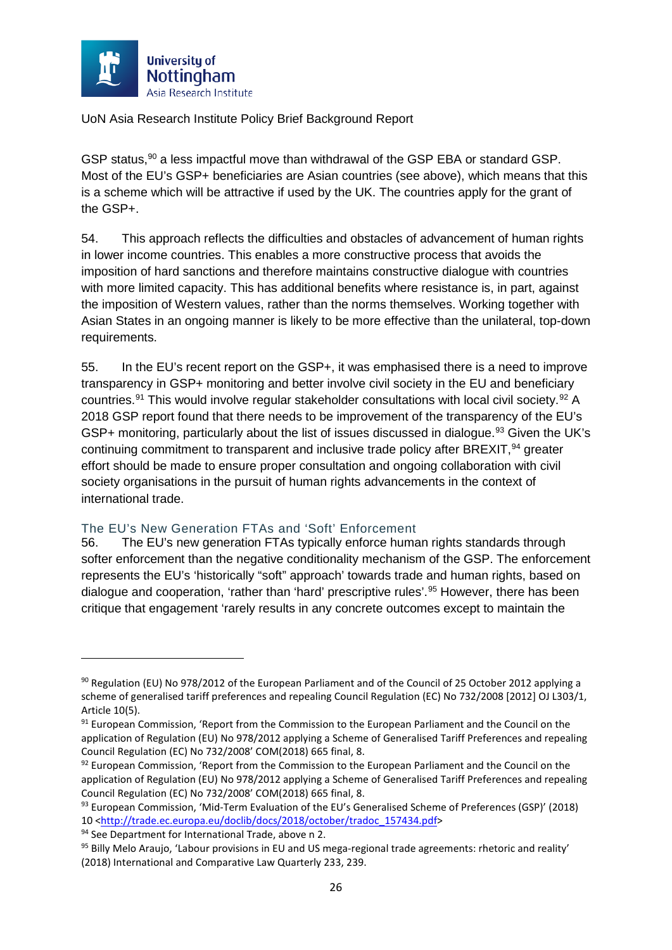

GSP status,<sup>[90](#page-26-1)</sup> a less impactful move than withdrawal of the GSP EBA or standard GSP. Most of the EU's GSP+ beneficiaries are Asian countries (see above), which means that this is a scheme which will be attractive if used by the UK. The countries apply for the grant of the GSP+.

54. This approach reflects the difficulties and obstacles of advancement of human rights in lower income countries. This enables a more constructive process that avoids the imposition of hard sanctions and therefore maintains constructive dialogue with countries with more limited capacity. This has additional benefits where resistance is, in part, against the imposition of Western values, rather than the norms themselves. Working together with Asian States in an ongoing manner is likely to be more effective than the unilateral, top-down requirements.

55. In the EU's recent report on the GSP+, it was emphasised there is a need to improve transparency in GSP+ monitoring and better involve civil society in the EU and beneficiary countries.<sup>[91](#page-26-2)</sup> This would involve regular stakeholder consultations with local civil society.<sup>[92](#page-26-3)</sup> A 2018 GSP report found that there needs to be improvement of the transparency of the EU's GSP+ monitoring, particularly about the list of issues discussed in dialogue.<sup>[93](#page-26-4)</sup> Given the UK's continuing commitment to transparent and inclusive trade policy after BREXIT, <sup>94</sup> greater effort should be made to ensure proper consultation and ongoing collaboration with civil society organisations in the pursuit of human rights advancements in the context of international trade.

#### <span id="page-26-0"></span>The EU's New Generation FTAs and 'Soft' Enforcement

56. The EU's new generation FTAs typically enforce human rights standards through softer enforcement than the negative conditionality mechanism of the GSP. The enforcement represents the EU's 'historically "soft" approach' towards trade and human rights, based on dialogue and cooperation, 'rather than 'hard' prescriptive rules'.<sup>[95](#page-26-6)</sup> However, there has been critique that engagement 'rarely results in any concrete outcomes except to maintain the

<span id="page-26-1"></span><sup>90</sup> Regulation (EU) No 978/2012 of the European Parliament and of the Council of 25 October 2012 applying a scheme of generalised tariff preferences and repealing Council Regulation (EC) No 732/2008 [2012] OJ L303/1, Article 10(5).

<span id="page-26-2"></span><sup>91</sup> European Commission, 'Report from the Commission to the European Parliament and the Council on the application of Regulation (EU) No 978/2012 applying a Scheme of Generalised Tariff Preferences and repealing Council Regulation (EC) No 732/2008' COM(2018) 665 final, 8.

<span id="page-26-3"></span> $92$  European Commission, 'Report from the Commission to the European Parliament and the Council on the application of Regulation (EU) No 978/2012 applying a Scheme of Generalised Tariff Preferences and repealing Council Regulation (EC) No 732/2008' COM(2018) 665 final, 8.

<span id="page-26-4"></span><sup>93</sup> European Commission, 'Mid-Term Evaluation of the EU's Generalised Scheme of Preferences (GSP)' (2018) 10 [<http://trade.ec.europa.eu/doclib/docs/2018/october/tradoc\\_157434.pdf>](http://trade.ec.europa.eu/doclib/docs/2018/october/tradoc_157434.pdf)

<span id="page-26-5"></span><sup>94</sup> See Department for International Trade, above n [2.](#page-2-2)

<span id="page-26-6"></span><sup>95</sup> Billy Melo Araujo, 'Labour provisions in EU and US mega-regional trade agreements: rhetoric and reality' (2018) International and Comparative Law Quarterly 233, 239.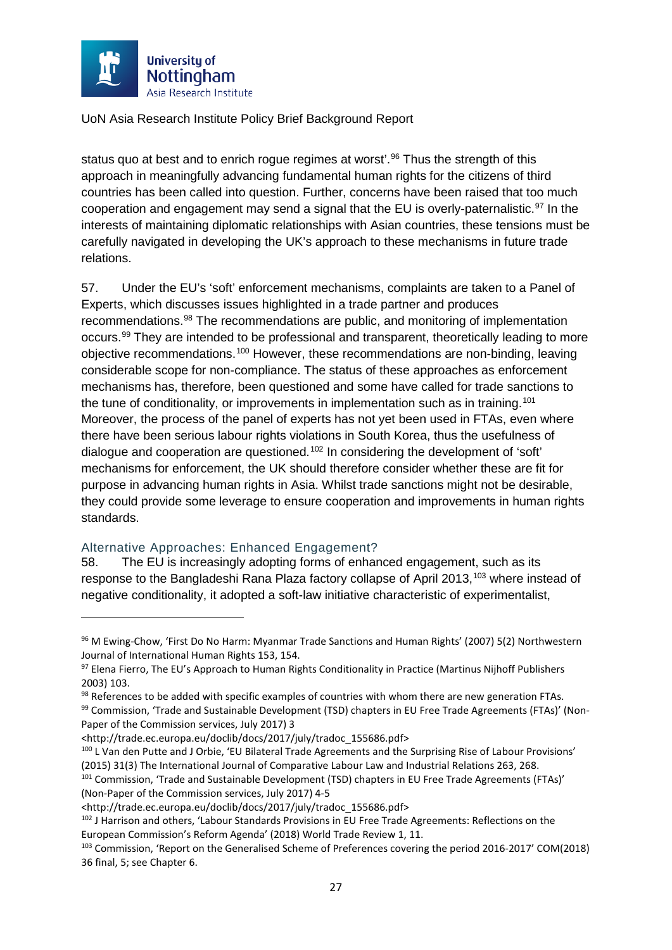

status quo at best and to enrich rogue regimes at worst<sup>'</sup>.<sup>[96](#page-27-1)</sup> Thus the strength of this approach in meaningfully advancing fundamental human rights for the citizens of third countries has been called into question. Further, concerns have been raised that too much cooperation and engagement may send a signal that the EU is overly-paternalistic.<sup>[97](#page-27-2)</sup> In the interests of maintaining diplomatic relationships with Asian countries, these tensions must be carefully navigated in developing the UK's approach to these mechanisms in future trade relations.

57. Under the EU's 'soft' enforcement mechanisms, complaints are taken to a Panel of Experts, which discusses issues highlighted in a trade partner and produces recommendations.[98](#page-27-3) The recommendations are public, and monitoring of implementation occurs.<sup>[99](#page-27-4)</sup> They are intended to be professional and transparent, theoretically leading to more objective recommendations.[100](#page-27-5) However, these recommendations are non-binding, leaving considerable scope for non-compliance. The status of these approaches as enforcement mechanisms has, therefore, been questioned and some have called for trade sanctions to the tune of conditionality, or improvements in implementation such as in training.<sup>[101](#page-27-6)</sup> Moreover, the process of the panel of experts has not yet been used in FTAs, even where there have been serious labour rights violations in South Korea, thus the usefulness of dialogue and cooperation are questioned.[102](#page-27-7) In considering the development of 'soft' mechanisms for enforcement, the UK should therefore consider whether these are fit for purpose in advancing human rights in Asia. Whilst trade sanctions might not be desirable, they could provide some leverage to ensure cooperation and improvements in human rights standards.

#### <span id="page-27-0"></span>Alternative Approaches: Enhanced Engagement?

 $\overline{\phantom{a}}$ 

58. The EU is increasingly adopting forms of enhanced engagement, such as its response to the Bangladeshi Rana Plaza factory collapse of April 2013,<sup>[103](#page-27-8)</sup> where instead of negative conditionality, it adopted a soft-law initiative characteristic of experimentalist,

<span id="page-27-3"></span>98 References to be added with specific examples of countries with whom there are new generation FTAs.

<span id="page-27-4"></span>99 Commission, 'Trade and Sustainable Development (TSD) chapters in EU Free Trade Agreements (FTAs)' (Non-Paper of the Commission services, July 2017) 3

<span id="page-27-1"></span><sup>96</sup> M Ewing-Chow, 'First Do No Harm: Myanmar Trade Sanctions and Human Rights' (2007) 5(2) Northwestern Journal of International Human Rights 153, 154.

<span id="page-27-2"></span><sup>97</sup> Elena Fierro, The EU's Approach to Human Rights Conditionality in Practice (Martinus Nijhoff Publishers 2003) 103.

<sup>&</sup>lt;http://trade.ec.europa.eu/doclib/docs/2017/july/tradoc\_155686.pdf>

<span id="page-27-5"></span><sup>100</sup> L Van den Putte and J Orbie, 'EU Bilateral Trade Agreements and the Surprising Rise of Labour Provisions' (2015) 31(3) The International Journal of Comparative Labour Law and Industrial Relations 263, 268.

<span id="page-27-6"></span><sup>&</sup>lt;sup>101</sup> Commission, 'Trade and Sustainable Development (TSD) chapters in EU Free Trade Agreements (FTAs)' (Non-Paper of the Commission services, July 2017) 4-5

<span id="page-27-7"></span><sup>&</sup>lt;http://trade.ec.europa.eu/doclib/docs/2017/july/tradoc\_155686.pdf> 102 J Harrison and others, 'Labour Standards Provisions in EU Free Trade Agreements: Reflections on the European Commission's Reform Agenda' (2018) World Trade Review 1, 11.

<span id="page-27-8"></span><sup>103</sup> Commission, 'Report on the Generalised Scheme of Preferences covering the period 2016-2017' COM(2018) 36 final, 5; see Chapter 6.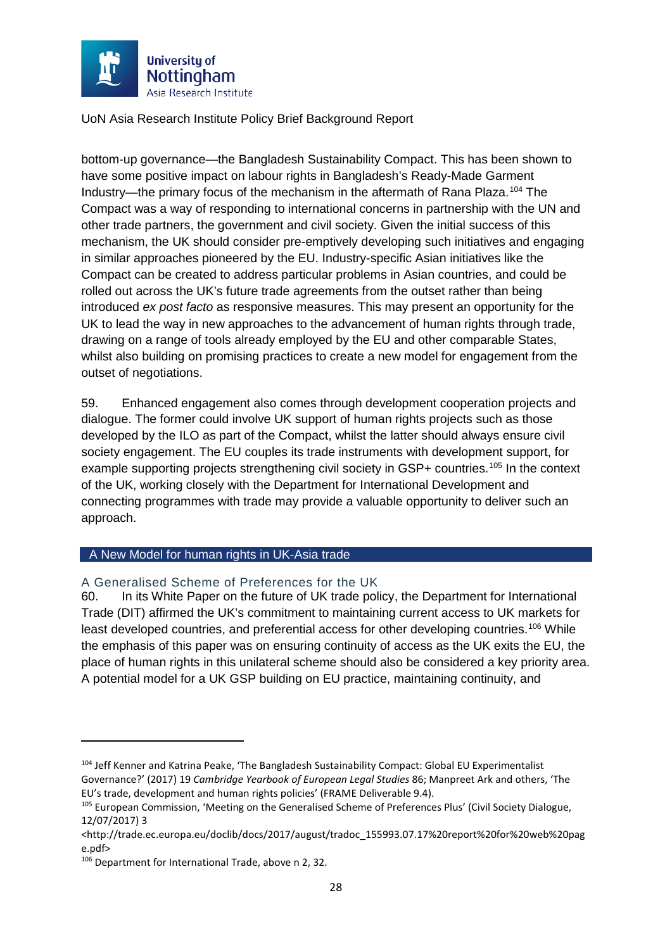

bottom-up governance—the Bangladesh Sustainability Compact. This has been shown to have some positive impact on labour rights in Bangladesh's Ready-Made Garment Industry—the primary focus of the mechanism in the aftermath of Rana Plaza. [104](#page-28-2) The Compact was a way of responding to international concerns in partnership with the UN and other trade partners, the government and civil society. Given the initial success of this mechanism, the UK should consider pre-emptively developing such initiatives and engaging in similar approaches pioneered by the EU. Industry-specific Asian initiatives like the Compact can be created to address particular problems in Asian countries, and could be rolled out across the UK's future trade agreements from the outset rather than being introduced *ex post facto* as responsive measures. This may present an opportunity for the UK to lead the way in new approaches to the advancement of human rights through trade, drawing on a range of tools already employed by the EU and other comparable States, whilst also building on promising practices to create a new model for engagement from the outset of negotiations.

59. Enhanced engagement also comes through development cooperation projects and dialogue. The former could involve UK support of human rights projects such as those developed by the ILO as part of the Compact, whilst the latter should always ensure civil society engagement. The EU couples its trade instruments with development support, for example supporting projects strengthening civil society in GSP+ countries.<sup>[105](#page-28-3)</sup> In the context of the UK, working closely with the Department for International Development and connecting programmes with trade may provide a valuable opportunity to deliver such an approach.

#### <span id="page-28-0"></span>A New Model for human rights in UK-Asia trade

#### <span id="page-28-1"></span>A Generalised Scheme of Preferences for the UK

60. In its White Paper on the future of UK trade policy, the Department for International Trade (DIT) affirmed the UK's commitment to maintaining current access to UK markets for least developed countries, and preferential access for other developing countries.[106](#page-28-4) While the emphasis of this paper was on ensuring continuity of access as the UK exits the EU, the place of human rights in this unilateral scheme should also be considered a key priority area. A potential model for a UK GSP building on EU practice, maintaining continuity, and

 $\overline{\phantom{a}}$ 

<span id="page-28-2"></span><sup>104</sup> Jeff Kenner and Katrina Peake, 'The Bangladesh Sustainability Compact: Global EU Experimentalist Governance?' (2017) 19 *Cambridge Yearbook of European Legal Studies* 86; Manpreet Ark and others, 'The EU's trade, development and human rights policies' (FRAME Deliverable 9.4).

<span id="page-28-3"></span><sup>&</sup>lt;sup>105</sup> European Commission, 'Meeting on the Generalised Scheme of Preferences Plus' (Civil Society Dialogue, 12/07/2017) 3

<sup>&</sup>lt;http://trade.ec.europa.eu/doclib/docs/2017/august/tradoc\_155993.07.17%20report%20for%20web%20pag e.pdf>

<span id="page-28-4"></span><sup>106</sup> Department for International Trade, above n [2,](#page-2-2) 32.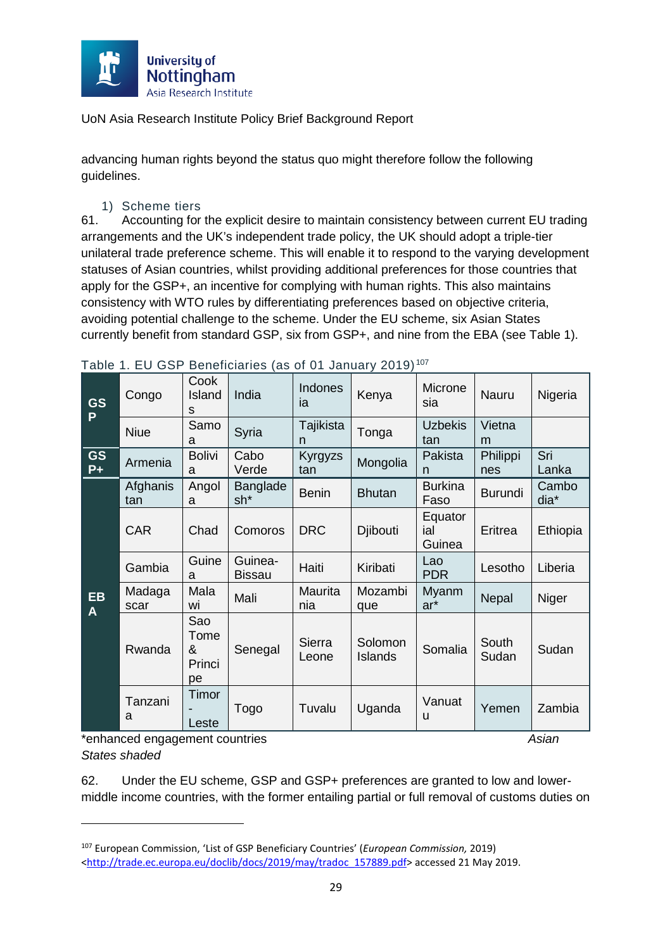

advancing human rights beyond the status quo might therefore follow the following guidelines.

1) Scheme tiers

61. Accounting for the explicit desire to maintain consistency between current EU trading arrangements and the UK's independent trade policy, the UK should adopt a triple-tier unilateral trade preference scheme. This will enable it to respond to the varying development statuses of Asian countries, whilst providing additional preferences for those countries that apply for the GSP+, an incentive for complying with human rights. This also maintains consistency with WTO rules by differentiating preferences based on objective criteria, avoiding potential challenge to the scheme. Under the EU scheme, six Asian States currently benefit from standard GSP, six from GSP+, and nine from the EBA (see Table 1).

| <b>GS</b><br>P    | Congo           | Cook<br>Island<br>S              | India                    | <b>Indones</b><br>ia | Kenya              | Microne<br>sia           | Nauru           | Nigeria            |
|-------------------|-----------------|----------------------------------|--------------------------|----------------------|--------------------|--------------------------|-----------------|--------------------|
|                   | <b>Niue</b>     | Samo<br>a                        | Syria                    | Tajikista<br>n       | Tonga              | <b>Uzbekis</b><br>tan    | Vietna<br>m     |                    |
| <b>GS</b><br>$P+$ | Armenia         | <b>Bolivi</b><br>a               | Cabo<br>Verde            | Kyrgyzs<br>tan       | Mongolia           | Pakista<br>n             | Philippi<br>nes | Sri<br>Lanka       |
|                   | Afghanis<br>tan | Angol<br>a                       | Banglade<br>$sh*$        | <b>Benin</b>         | <b>Bhutan</b>      | <b>Burkina</b><br>Faso   | <b>Burundi</b>  | Cambo<br>dia*      |
|                   | <b>CAR</b>      | Chad                             | Comoros                  | <b>DRC</b>           | Djibouti           | Equator<br>ial<br>Guinea | Eritrea         | Ethiopia           |
|                   | Gambia          | Guine<br>a                       | Guinea-<br><b>Bissau</b> | Haiti                | Kiribati           | Lao<br><b>PDR</b>        | Lesotho         | Liberia            |
| EB<br>A           | Madaga<br>scar  | Mala<br>wi                       | Mali                     | Maurita<br>nia       | Mozambi<br>que     | Myanm<br>ar*             | Nepal           | Niger              |
|                   | Rwanda          | Sao<br>Tome<br>&<br>Princi<br>pe | Senegal                  | Sierra<br>Leone      | Solomon<br>Islands | Somalia                  | South<br>Sudan  | Sudan              |
|                   | Tanzani<br>a    | Timor<br>Leste                   | Togo                     | Tuvalu               | Uganda             | Vanuat<br>u              | Yemen           | Zambia<br>$\cdots$ |

Table 1. EU GSP Beneficiaries (as of 01 January 2019) [107](#page-29-0)

\*enhanced engagement countries *Asian States shaded*

**.** 

62. Under the EU scheme, GSP and GSP+ preferences are granted to low and lowermiddle income countries, with the former entailing partial or full removal of customs duties on

<span id="page-29-0"></span><sup>107</sup> European Commission, 'List of GSP Beneficiary Countries' (*European Commission,* 2019) [<http://trade.ec.europa.eu/doclib/docs/2019/may/tradoc\\_157889.pdf>](http://trade.ec.europa.eu/doclib/docs/2019/may/tradoc_157889.pdf) accessed 21 May 2019.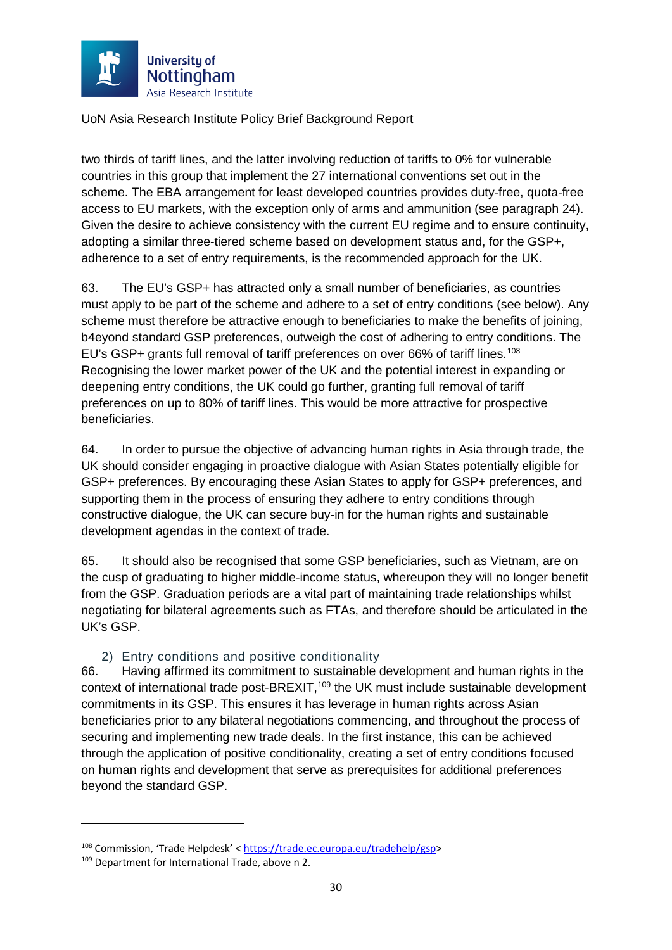

two thirds of tariff lines, and the latter involving reduction of tariffs to 0% for vulnerable countries in this group that implement the 27 international conventions set out in the scheme. The EBA arrangement for least developed countries provides duty-free, quota-free access to EU markets, with the exception only of arms and ammunition (see paragraph [24\)](#page-14-2). Given the desire to achieve consistency with the current EU regime and to ensure continuity, adopting a similar three-tiered scheme based on development status and, for the GSP+, adherence to a set of entry requirements, is the recommended approach for the UK.

63. The EU's GSP+ has attracted only a small number of beneficiaries, as countries must apply to be part of the scheme and adhere to a set of entry conditions (see below). Any scheme must therefore be attractive enough to beneficiaries to make the benefits of joining, b4eyond standard GSP preferences, outweigh the cost of adhering to entry conditions. The EU's GSP+ grants full removal of tariff preferences on over 66% of tariff lines.<sup>[108](#page-30-0)</sup> Recognising the lower market power of the UK and the potential interest in expanding or deepening entry conditions, the UK could go further, granting full removal of tariff preferences on up to 80% of tariff lines. This would be more attractive for prospective beneficiaries.

64. In order to pursue the objective of advancing human rights in Asia through trade, the UK should consider engaging in proactive dialogue with Asian States potentially eligible for GSP+ preferences. By encouraging these Asian States to apply for GSP+ preferences, and supporting them in the process of ensuring they adhere to entry conditions through constructive dialogue, the UK can secure buy-in for the human rights and sustainable development agendas in the context of trade.

65. It should also be recognised that some GSP beneficiaries, such as Vietnam, are on the cusp of graduating to higher middle-income status, whereupon they will no longer benefit from the GSP. Graduation periods are a vital part of maintaining trade relationships whilst negotiating for bilateral agreements such as FTAs, and therefore should be articulated in the UK's GSP.

#### 2) Entry conditions and positive conditionality

66. Having affirmed its commitment to sustainable development and human rights in the context of international trade post-BREXIT,<sup>[109](#page-30-1)</sup> the UK must include sustainable development commitments in its GSP. This ensures it has leverage in human rights across Asian beneficiaries prior to any bilateral negotiations commencing, and throughout the process of securing and implementing new trade deals. In the first instance, this can be achieved through the application of positive conditionality, creating a set of entry conditions focused on human rights and development that serve as prerequisites for additional preferences beyond the standard GSP.

<span id="page-30-0"></span><sup>108</sup> Commission, 'Trade Helpdesk' < [https://trade.ec.europa.eu/tradehelp/gsp>](https://trade.ec.europa.eu/tradehelp/gsp)

<span id="page-30-1"></span><sup>109</sup> Department for International Trade, above n [2.](#page-2-2)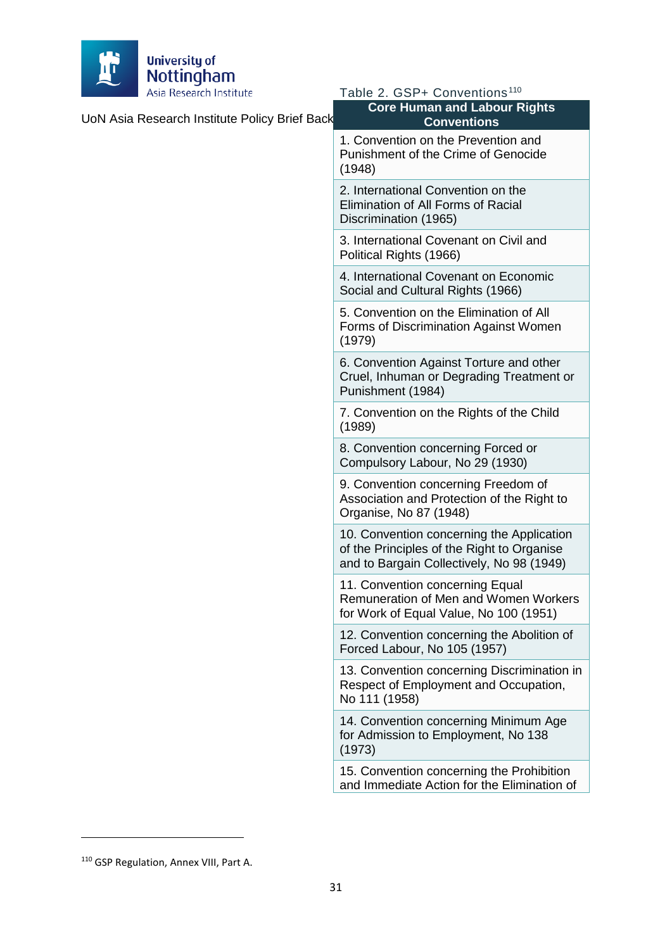

| UoN Asia Research Institute Policy Brief Back | <b>Core Human and Labour Rights</b><br><b>Conventions</b>                                                                            |
|-----------------------------------------------|--------------------------------------------------------------------------------------------------------------------------------------|
|                                               | 1. Convention on the Prevention and<br>Punishment of the Crime of Genocide<br>(1948)                                                 |
|                                               | 2. International Convention on the<br>Elimination of All Forms of Racial<br>Discrimination (1965)                                    |
|                                               | 3. International Covenant on Civil and<br>Political Rights (1966)                                                                    |
|                                               | 4. International Covenant on Economic<br>Social and Cultural Rights (1966)                                                           |
|                                               | 5. Convention on the Elimination of All<br>Forms of Discrimination Against Women<br>(1979)                                           |
|                                               | 6. Convention Against Torture and other<br>Cruel, Inhuman or Degrading Treatment or<br>Punishment (1984)                             |
|                                               | 7. Convention on the Rights of the Child<br>(1989)                                                                                   |
|                                               | 8. Convention concerning Forced or<br>Compulsory Labour, No 29 (1930)                                                                |
|                                               | 9. Convention concerning Freedom of<br>Association and Protection of the Right to<br>Organise, No 87 (1948)                          |
|                                               | 10. Convention concerning the Application<br>of the Principles of the Right to Organise<br>and to Bargain Collectively, No 98 (1949) |
|                                               | 11. Convention concerning Equal<br>Remuneration of Men and Women Workers<br>for Work of Equal Value, No 100 (1951)                   |
|                                               | 12. Convention concerning the Abolition of<br>Forced Labour, No 105 (1957)                                                           |
|                                               | 13. Convention concerning Discrimination in<br>Respect of Employment and Occupation,<br>No 111 (1958)                                |
|                                               | 14. Convention concerning Minimum Age<br>for Admission to Employment, No 138<br>(1973)                                               |
|                                               | 15. Convention concerning the Prohibition<br>and Immediate Action for the Elimination of                                             |

Table 2. GSP+ Conventions<sup>[110](#page-31-0)</sup>

 $\overline{\phantom{a}}$ 

<span id="page-31-0"></span><sup>110</sup> GSP Regulation, Annex VIII, Part A.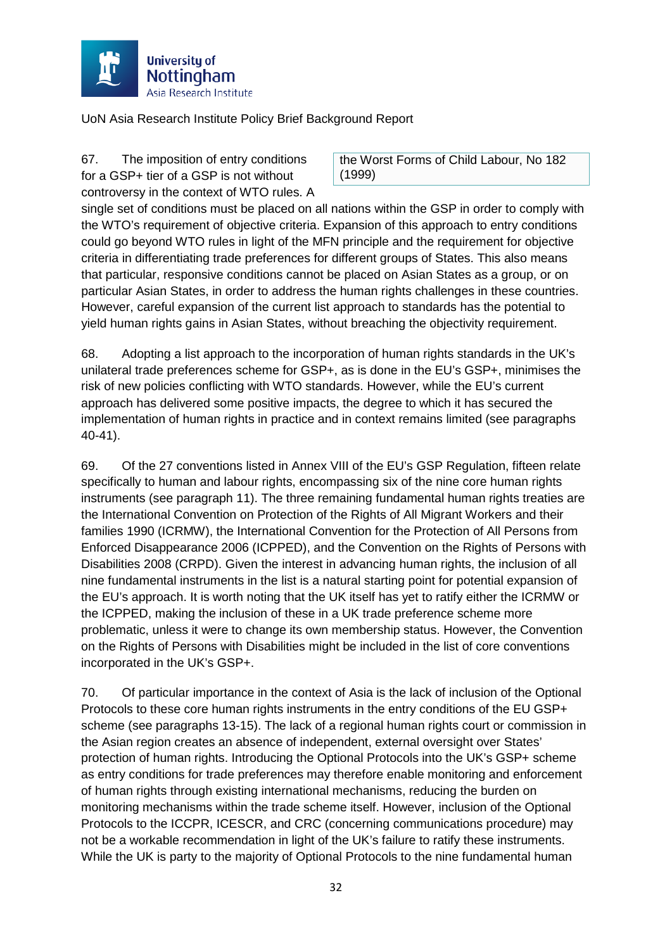

67. The imposition of entry conditions for a GSP+ tier of a GSP is not without controversy in the context of WTO rules. A

the Worst Forms of Child Labour, No 182 (1999)

single set of conditions must be placed on all nations within the GSP in order to comply with the WTO's requirement of objective criteria. Expansion of this approach to entry conditions could go beyond WTO rules in light of the MFN principle and the requirement for objective criteria in differentiating trade preferences for different groups of States. This also means that particular, responsive conditions cannot be placed on Asian States as a group, or on particular Asian States, in order to address the human rights challenges in these countries. However, careful expansion of the current list approach to standards has the potential to yield human rights gains in Asian States, without breaching the objectivity requirement.

68. Adopting a list approach to the incorporation of human rights standards in the UK's unilateral trade preferences scheme for GSP+, as is done in the EU's GSP+, minimises the risk of new policies conflicting with WTO standards. However, while the EU's current approach has delivered some positive impacts, the degree to which it has secured the implementation of human rights in practice and in context remains limited (see paragraphs 40-41).

69. Of the 27 conventions listed in Annex VIII of the EU's GSP Regulation, fifteen relate specifically to human and labour rights, encompassing six of the nine core human rights instruments (see paragraph [11\)](#page-7-4). The three remaining fundamental human rights treaties are the International Convention on Protection of the Rights of All Migrant Workers and their families 1990 (ICRMW), the International Convention for the Protection of All Persons from Enforced Disappearance 2006 (ICPPED), and the Convention on the Rights of Persons with Disabilities 2008 (CRPD). Given the interest in advancing human rights, the inclusion of all nine fundamental instruments in the list is a natural starting point for potential expansion of the EU's approach. It is worth noting that the UK itself has yet to ratify either the ICRMW or the ICPPED, making the inclusion of these in a UK trade preference scheme more problematic, unless it were to change its own membership status. However, the Convention on the Rights of Persons with Disabilities might be included in the list of core conventions incorporated in the UK's GSP+.

70. Of particular importance in the context of Asia is the lack of inclusion of the Optional Protocols to these core human rights instruments in the entry conditions of the EU GSP+ scheme (see paragraphs [13](#page-9-1)[-15\)](#page-10-0). The lack of a regional human rights court or commission in the Asian region creates an absence of independent, external oversight over States' protection of human rights. Introducing the Optional Protocols into the UK's GSP+ scheme as entry conditions for trade preferences may therefore enable monitoring and enforcement of human rights through existing international mechanisms, reducing the burden on monitoring mechanisms within the trade scheme itself. However, inclusion of the Optional Protocols to the ICCPR, ICESCR, and CRC (concerning communications procedure) may not be a workable recommendation in light of the UK's failure to ratify these instruments. While the UK is party to the majority of Optional Protocols to the nine fundamental human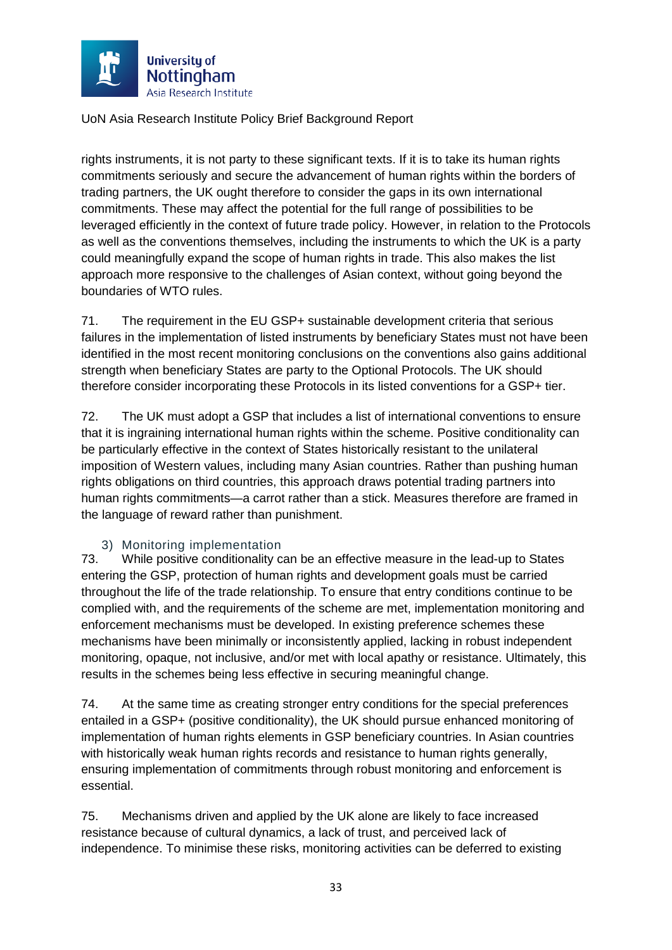

rights instruments, it is not party to these significant texts. If it is to take its human rights commitments seriously and secure the advancement of human rights within the borders of trading partners, the UK ought therefore to consider the gaps in its own international commitments. These may affect the potential for the full range of possibilities to be leveraged efficiently in the context of future trade policy. However, in relation to the Protocols as well as the conventions themselves, including the instruments to which the UK is a party could meaningfully expand the scope of human rights in trade. This also makes the list approach more responsive to the challenges of Asian context, without going beyond the boundaries of WTO rules.

71. The requirement in the EU GSP+ sustainable development criteria that serious failures in the implementation of listed instruments by beneficiary States must not have been identified in the most recent monitoring conclusions on the conventions also gains additional strength when beneficiary States are party to the Optional Protocols. The UK should therefore consider incorporating these Protocols in its listed conventions for a GSP+ tier.

72. The UK must adopt a GSP that includes a list of international conventions to ensure that it is ingraining international human rights within the scheme. Positive conditionality can be particularly effective in the context of States historically resistant to the unilateral imposition of Western values, including many Asian countries. Rather than pushing human rights obligations on third countries, this approach draws potential trading partners into human rights commitments—a carrot rather than a stick. Measures therefore are framed in the language of reward rather than punishment.

#### 3) Monitoring implementation

73. While positive conditionality can be an effective measure in the lead-up to States entering the GSP, protection of human rights and development goals must be carried throughout the life of the trade relationship. To ensure that entry conditions continue to be complied with, and the requirements of the scheme are met, implementation monitoring and enforcement mechanisms must be developed. In existing preference schemes these mechanisms have been minimally or inconsistently applied, lacking in robust independent monitoring, opaque, not inclusive, and/or met with local apathy or resistance. Ultimately, this results in the schemes being less effective in securing meaningful change.

74. At the same time as creating stronger entry conditions for the special preferences entailed in a GSP+ (positive conditionality), the UK should pursue enhanced monitoring of implementation of human rights elements in GSP beneficiary countries. In Asian countries with historically weak human rights records and resistance to human rights generally, ensuring implementation of commitments through robust monitoring and enforcement is essential.

75. Mechanisms driven and applied by the UK alone are likely to face increased resistance because of cultural dynamics, a lack of trust, and perceived lack of independence. To minimise these risks, monitoring activities can be deferred to existing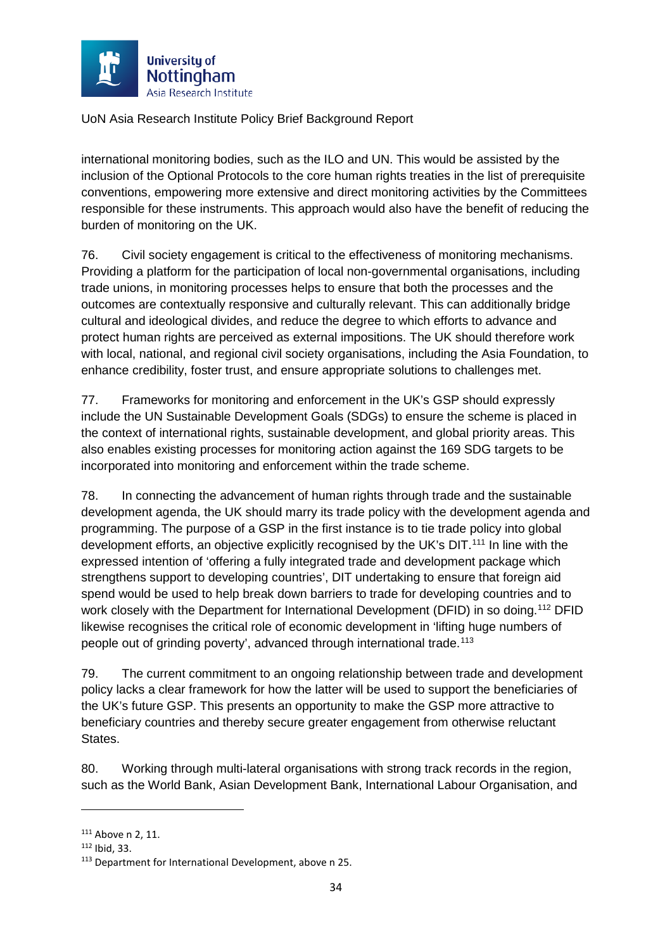

international monitoring bodies, such as the ILO and UN. This would be assisted by the inclusion of the Optional Protocols to the core human rights treaties in the list of prerequisite conventions, empowering more extensive and direct monitoring activities by the Committees responsible for these instruments. This approach would also have the benefit of reducing the burden of monitoring on the UK.

76. Civil society engagement is critical to the effectiveness of monitoring mechanisms. Providing a platform for the participation of local non-governmental organisations, including trade unions, in monitoring processes helps to ensure that both the processes and the outcomes are contextually responsive and culturally relevant. This can additionally bridge cultural and ideological divides, and reduce the degree to which efforts to advance and protect human rights are perceived as external impositions. The UK should therefore work with local, national, and regional civil society organisations, including the Asia Foundation, to enhance credibility, foster trust, and ensure appropriate solutions to challenges met.

77. Frameworks for monitoring and enforcement in the UK's GSP should expressly include the UN Sustainable Development Goals (SDGs) to ensure the scheme is placed in the context of international rights, sustainable development, and global priority areas. This also enables existing processes for monitoring action against the 169 SDG targets to be incorporated into monitoring and enforcement within the trade scheme.

78. In connecting the advancement of human rights through trade and the sustainable development agenda, the UK should marry its trade policy with the development agenda and programming. The purpose of a GSP in the first instance is to tie trade policy into global development efforts, an objective explicitly recognised by the UK's DIT.<sup>[111](#page-34-0)</sup> In line with the expressed intention of 'offering a fully integrated trade and development package which strengthens support to developing countries', DIT undertaking to ensure that foreign aid spend would be used to help break down barriers to trade for developing countries and to work closely with the Department for International Development (DFID) in so doing.<sup>[112](#page-34-1)</sup> DFID likewise recognises the critical role of economic development in 'lifting huge numbers of people out of grinding poverty', advanced through international trade.<sup>[113](#page-34-2)</sup>

79. The current commitment to an ongoing relationship between trade and development policy lacks a clear framework for how the latter will be used to support the beneficiaries of the UK's future GSP. This presents an opportunity to make the GSP more attractive to beneficiary countries and thereby secure greater engagement from otherwise reluctant States.

80. Working through multi-lateral organisations with strong track records in the region, such as the World Bank, Asian Development Bank, International Labour Organisation, and

<u>.</u>

<span id="page-34-0"></span><sup>&</sup>lt;sup>111</sup> Above [n 2,](#page-2-2) 11.

<span id="page-34-1"></span><sup>112</sup> Ibid, 33.

<span id="page-34-2"></span><sup>113</sup> Department for International Development, above [n 25.](#page-6-3)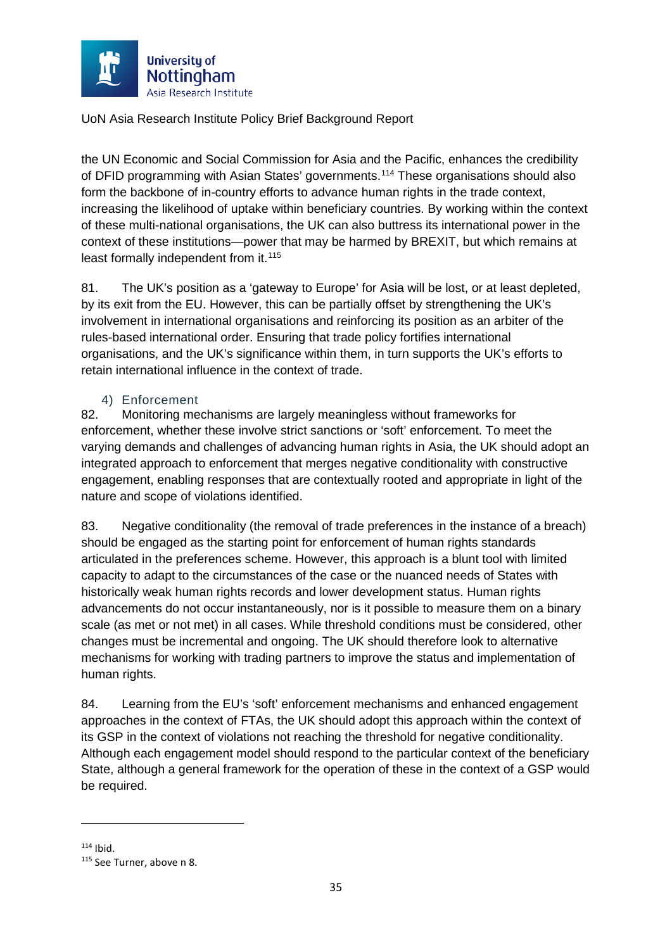

the UN Economic and Social Commission for Asia and the Pacific, enhances the credibility of DFID programming with Asian States' governments.<sup>[114](#page-35-0)</sup> These organisations should also form the backbone of in-country efforts to advance human rights in the trade context, increasing the likelihood of uptake within beneficiary countries. By working within the context of these multi-national organisations, the UK can also buttress its international power in the context of these institutions—power that may be harmed by BREXIT, but which remains at least formally independent from it.<sup>[115](#page-35-1)</sup>

81. The UK's position as a 'gateway to Europe' for Asia will be lost, or at least depleted, by its exit from the EU. However, this can be partially offset by strengthening the UK's involvement in international organisations and reinforcing its position as an arbiter of the rules-based international order. Ensuring that trade policy fortifies international organisations, and the UK's significance within them, in turn supports the UK's efforts to retain international influence in the context of trade.

#### 4) Enforcement

82. Monitoring mechanisms are largely meaningless without frameworks for enforcement, whether these involve strict sanctions or 'soft' enforcement. To meet the varying demands and challenges of advancing human rights in Asia, the UK should adopt an integrated approach to enforcement that merges negative conditionality with constructive engagement, enabling responses that are contextually rooted and appropriate in light of the nature and scope of violations identified.

83. Negative conditionality (the removal of trade preferences in the instance of a breach) should be engaged as the starting point for enforcement of human rights standards articulated in the preferences scheme. However, this approach is a blunt tool with limited capacity to adapt to the circumstances of the case or the nuanced needs of States with historically weak human rights records and lower development status. Human rights advancements do not occur instantaneously, nor is it possible to measure them on a binary scale (as met or not met) in all cases. While threshold conditions must be considered, other changes must be incremental and ongoing. The UK should therefore look to alternative mechanisms for working with trading partners to improve the status and implementation of human rights.

84. Learning from the EU's 'soft' enforcement mechanisms and enhanced engagement approaches in the context of FTAs, the UK should adopt this approach within the context of its GSP in the context of violations not reaching the threshold for negative conditionality. Although each engagement model should respond to the particular context of the beneficiary State, although a general framework for the operation of these in the context of a GSP would be required.

<span id="page-35-1"></span><span id="page-35-0"></span> $114$  Ibid.<br> $115$  See Turner, above [n 8.](#page-3-5)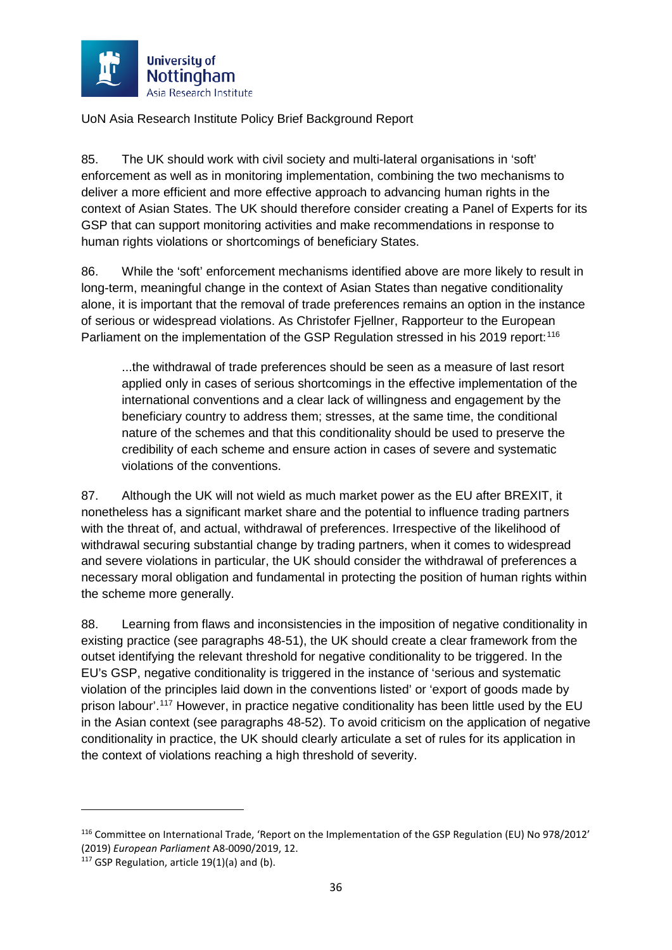

85. The UK should work with civil society and multi-lateral organisations in 'soft' enforcement as well as in monitoring implementation, combining the two mechanisms to deliver a more efficient and more effective approach to advancing human rights in the context of Asian States. The UK should therefore consider creating a Panel of Experts for its GSP that can support monitoring activities and make recommendations in response to human rights violations or shortcomings of beneficiary States.

86. While the 'soft' enforcement mechanisms identified above are more likely to result in long-term, meaningful change in the context of Asian States than negative conditionality alone, it is important that the removal of trade preferences remains an option in the instance of serious or widespread violations. As Christofer Fjellner, Rapporteur to the European Parliament on the implementation of the GSP Regulation stressed in his 2019 report:<sup>[116](#page-36-0)</sup>

...the withdrawal of trade preferences should be seen as a measure of last resort applied only in cases of serious shortcomings in the effective implementation of the international conventions and a clear lack of willingness and engagement by the beneficiary country to address them; stresses, at the same time, the conditional nature of the schemes and that this conditionality should be used to preserve the credibility of each scheme and ensure action in cases of severe and systematic violations of the conventions.

87. Although the UK will not wield as much market power as the EU after BREXIT, it nonetheless has a significant market share and the potential to influence trading partners with the threat of, and actual, withdrawal of preferences. Irrespective of the likelihood of withdrawal securing substantial change by trading partners, when it comes to widespread and severe violations in particular, the UK should consider the withdrawal of preferences a necessary moral obligation and fundamental in protecting the position of human rights within the scheme more generally.

88. Learning from flaws and inconsistencies in the imposition of negative conditionality in existing practice (see paragraphs [48-](#page-23-4)[51\)](#page-24-5), the UK should create a clear framework from the outset identifying the relevant threshold for negative conditionality to be triggered. In the EU's GSP, negative conditionality is triggered in the instance of 'serious and systematic violation of the principles laid down in the conventions listed' or 'export of goods made by prison labour'.<sup>[117](#page-36-1)</sup> However, in practice negative conditionality has been little used by the EU in the Asian context (see paragraphs [48-](#page-23-4)[52\)](#page-25-8). To avoid criticism on the application of negative conditionality in practice, the UK should clearly articulate a set of rules for its application in the context of violations reaching a high threshold of severity.

<u>.</u>

<span id="page-36-0"></span><sup>116</sup> Committee on International Trade, 'Report on the Implementation of the GSP Regulation (EU) No 978/2012' (2019) *European Parliament* A8-0090/2019, 12.

<span id="page-36-1"></span> $117$  GSP Regulation, article 19(1)(a) and (b).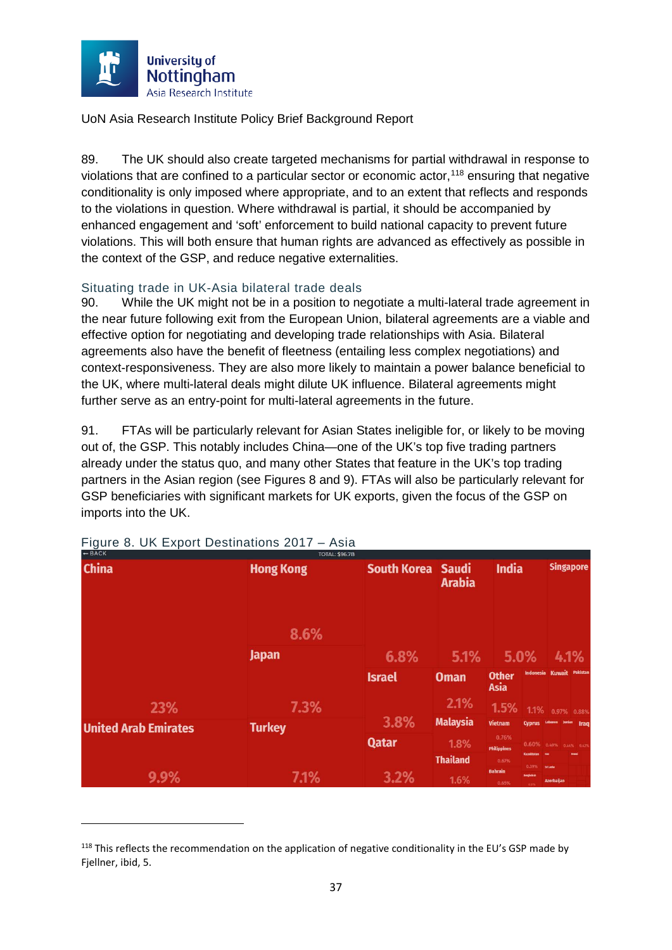

89. The UK should also create targeted mechanisms for partial withdrawal in response to violations that are confined to a particular sector or economic actor, [118](#page-37-1) ensuring that negative conditionality is only imposed where appropriate, and to an extent that reflects and responds to the violations in question. Where withdrawal is partial, it should be accompanied by enhanced engagement and 'soft' enforcement to build national capacity to prevent future violations. This will both ensure that human rights are advanced as effectively as possible in the context of the GSP, and reduce negative externalities.

# <span id="page-37-0"></span>Situating trade in UK-Asia bilateral trade deals<br>90. While the UK might not be in a position to ne

While the UK might not be in a position to negotiate a multi-lateral trade agreement in the near future following exit from the European Union, bilateral agreements are a viable and effective option for negotiating and developing trade relationships with Asia. Bilateral agreements also have the benefit of fleetness (entailing less complex negotiations) and context-responsiveness. They are also more likely to maintain a power balance beneficial to the UK, where multi-lateral deals might dilute UK influence. Bilateral agreements might further serve as an entry-point for multi-lateral agreements in the future.

91. FTAs will be particularly relevant for Asian States ineligible for, or likely to be moving out of, the GSP. This notably includes China—one of the UK's top five trading partners already under the status quo, and many other States that feature in the UK's top trading partners in the Asian region (see Figures 8 and 9). FTAs will also be particularly relevant for GSP beneficiaries with significant markets for UK exports, given the focus of the GSP on imports into the UK.

| <b>PDACK</b>                | <b>JOIAL: \$96.7B</b> |                    |                               |                             |                            |                           |                  |
|-----------------------------|-----------------------|--------------------|-------------------------------|-----------------------------|----------------------------|---------------------------|------------------|
| <b>China</b>                | <b>Hong Kong</b>      | <b>South Korea</b> | <b>Saudi</b><br><b>Arabia</b> | <b>India</b>                |                            |                           | <b>Singapore</b> |
|                             | 8.6%                  |                    |                               |                             |                            |                           |                  |
|                             | <b>Japan</b>          | 6.8%               | 5.1%                          |                             | 5.0%                       |                           | 4.1%             |
|                             |                       | <b>Israel</b>      | <b>Oman</b>                   | <b>Other</b><br><b>Asia</b> |                            | Indonesia Kuwait Pakistan |                  |
| 23%                         | 7.3%                  |                    | 2.1%                          | 1.5%                        |                            | 1.1% 0.97% 0.88%          |                  |
| <b>United Arab Emirates</b> | <b>Turkey</b>         | 3.8%               | <b>Malaysia</b>               | <b>Vietnam</b>              | Cyprus Lebanon Jordan Iraq |                           |                  |
|                             |                       | <b>Qatar</b>       | 1.8%                          | 0.76%<br><b>Philippines</b> | 0.60% 0.49% 0.44% 0.43%    |                           |                  |
|                             |                       |                    | <b>Thailand</b>               | 0.67%                       | <b>Kazakhstan</b><br>0.39% | <b>Sri Lanka</b>          | <b>Scane</b>     |
| 9.9%                        | 7.1%                  | 3.2%               | 1.6%                          | <b>Bahrain</b><br>0.65%     | Bangladesh<br>631%         | <b>Azerbaijan</b>         |                  |

Figure 8. UK Export Destinations 2017 – Asia

<span id="page-37-1"></span><sup>&</sup>lt;sup>118</sup> This reflects the recommendation on the application of negative conditionality in the EU's GSP made by Fiellner, ibid, 5.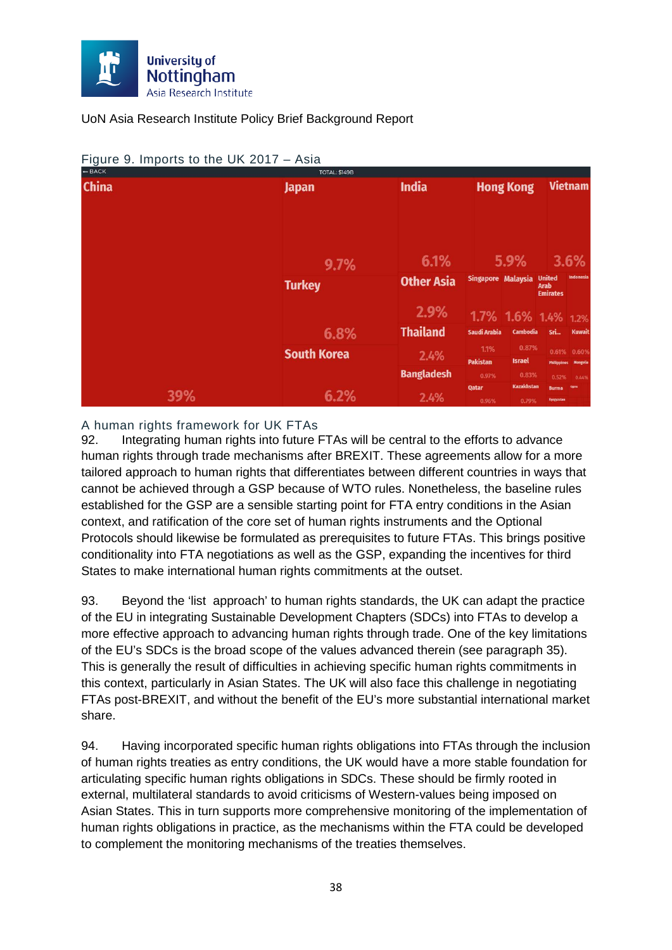

| $-$ BACK     |     | <b>TOTAL: \$149B</b> |                   |                     |                   |                              |                             |
|--------------|-----|----------------------|-------------------|---------------------|-------------------|------------------------------|-----------------------------|
| <b>China</b> |     | <b>Japan</b>         | <b>India</b>      |                     | <b>Hong Kong</b>  |                              | <b>Vietnam</b>              |
|              |     |                      |                   |                     |                   |                              |                             |
|              |     |                      |                   |                     |                   |                              |                             |
|              |     |                      |                   |                     |                   |                              |                             |
|              |     |                      |                   |                     |                   |                              |                             |
|              |     | 9.7%                 | 6.1%              |                     | 5.9%              |                              | 3.6%                        |
|              |     | <b>Turkey</b>        | <b>Other Asia</b> | Singapore Malaysia  |                   | <b>United</b><br><b>Arab</b> | Indonesia                   |
|              |     |                      |                   |                     |                   | <b>Emirates</b>              |                             |
|              |     |                      | 2.9%              | 1.7% 1.6% 1.4% 1.2% |                   |                              |                             |
|              |     | 6.8%                 | <b>Thailand</b>   | <b>Saudi Arabia</b> | <b>Cambodia</b>   | Sri                          | <b>Kuwait</b>               |
|              |     | <b>South Korea</b>   | 2.4%              | 1.1%                | 0.87%             |                              | 0.61% 0.60%                 |
|              |     |                      |                   | <b>Pakistan</b>     | <b>Israel</b>     |                              | <b>Philippines Mongolia</b> |
|              |     |                      | <b>Bangladesh</b> | 0.97%               | 0.83%             | 0.52%                        | 0.44%                       |
|              | 39% | 6.2%                 |                   | <b>Qatar</b>        | <b>Kazakhstan</b> | <b>Burma</b>                 | <b>Opns</b>                 |
|              |     |                      | 2.4%              | 0.96%               | 0.79%             | Kyrgyzstan                   |                             |

#### Figure 9. Imports to the UK 2017 – Asia

#### A human rights framework for UK FTAs

92. Integrating human rights into future FTAs will be central to the efforts to advance human rights through trade mechanisms after BREXIT. These agreements allow for a more tailored approach to human rights that differentiates between different countries in ways that cannot be achieved through a GSP because of WTO rules. Nonetheless, the baseline rules established for the GSP are a sensible starting point for FTA entry conditions in the Asian context, and ratification of the core set of human rights instruments and the Optional Protocols should likewise be formulated as prerequisites to future FTAs. This brings positive conditionality into FTA negotiations as well as the GSP, expanding the incentives for third States to make international human rights commitments at the outset.

93. Beyond the 'list approach' to human rights standards, the UK can adapt the practice of the EU in integrating Sustainable Development Chapters (SDCs) into FTAs to develop a more effective approach to advancing human rights through trade. One of the key limitations of the EU's SDCs is the broad scope of the values advanced therein (see paragraph [35\)](#page-18-5). This is generally the result of difficulties in achieving specific human rights commitments in this context, particularly in Asian States. The UK will also face this challenge in negotiating FTAs post-BREXIT, and without the benefit of the EU's more substantial international market share.

94. Having incorporated specific human rights obligations into FTAs through the inclusion of human rights treaties as entry conditions, the UK would have a more stable foundation for articulating specific human rights obligations in SDCs. These should be firmly rooted in external, multilateral standards to avoid criticisms of Western-values being imposed on Asian States. This in turn supports more comprehensive monitoring of the implementation of human rights obligations in practice, as the mechanisms within the FTA could be developed to complement the monitoring mechanisms of the treaties themselves.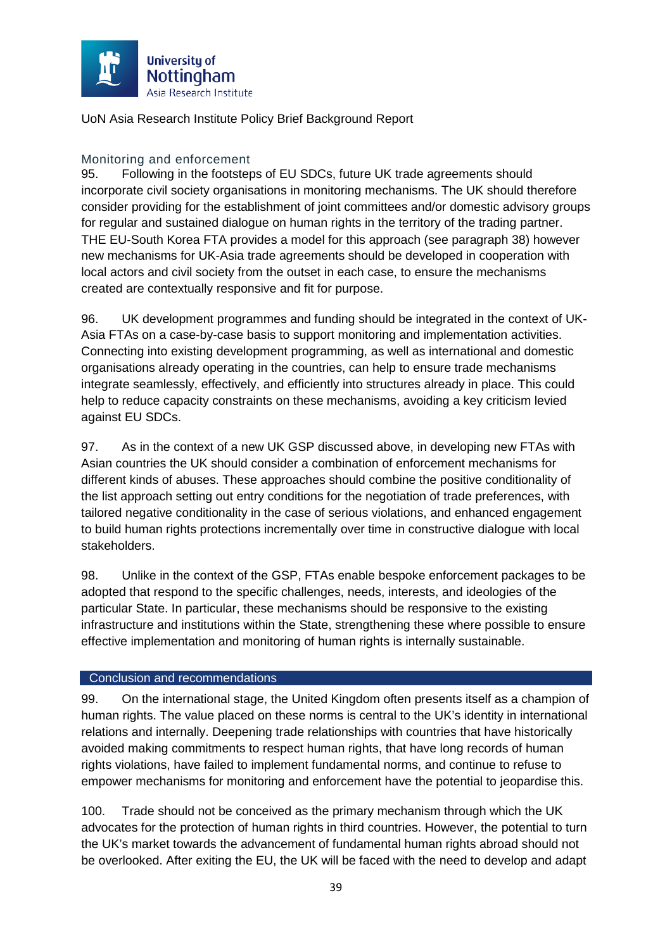

#### Monitoring and enforcement

95. Following in the footsteps of EU SDCs, future UK trade agreements should incorporate civil society organisations in monitoring mechanisms. The UK should therefore consider providing for the establishment of joint committees and/or domestic advisory groups for regular and sustained dialogue on human rights in the territory of the trading partner. THE EU-South Korea FTA provides a model for this approach (see paragraph [38\)](#page-20-7) however new mechanisms for UK-Asia trade agreements should be developed in cooperation with local actors and civil society from the outset in each case, to ensure the mechanisms created are contextually responsive and fit for purpose.

96. UK development programmes and funding should be integrated in the context of UK-Asia FTAs on a case-by-case basis to support monitoring and implementation activities. Connecting into existing development programming, as well as international and domestic organisations already operating in the countries, can help to ensure trade mechanisms integrate seamlessly, effectively, and efficiently into structures already in place. This could help to reduce capacity constraints on these mechanisms, avoiding a key criticism levied against EU SDCs.

97. As in the context of a new UK GSP discussed above, in developing new FTAs with Asian countries the UK should consider a combination of enforcement mechanisms for different kinds of abuses. These approaches should combine the positive conditionality of the list approach setting out entry conditions for the negotiation of trade preferences, with tailored negative conditionality in the case of serious violations, and enhanced engagement to build human rights protections incrementally over time in constructive dialogue with local stakeholders.

98. Unlike in the context of the GSP, FTAs enable bespoke enforcement packages to be adopted that respond to the specific challenges, needs, interests, and ideologies of the particular State. In particular, these mechanisms should be responsive to the existing infrastructure and institutions within the State, strengthening these where possible to ensure effective implementation and monitoring of human rights is internally sustainable.

#### <span id="page-39-0"></span>Conclusion and recommendations

99. On the international stage, the United Kingdom often presents itself as a champion of human rights. The value placed on these norms is central to the UK's identity in international relations and internally. Deepening trade relationships with countries that have historically avoided making commitments to respect human rights, that have long records of human rights violations, have failed to implement fundamental norms, and continue to refuse to empower mechanisms for monitoring and enforcement have the potential to jeopardise this.

100. Trade should not be conceived as the primary mechanism through which the UK advocates for the protection of human rights in third countries. However, the potential to turn the UK's market towards the advancement of fundamental human rights abroad should not be overlooked. After exiting the EU, the UK will be faced with the need to develop and adapt